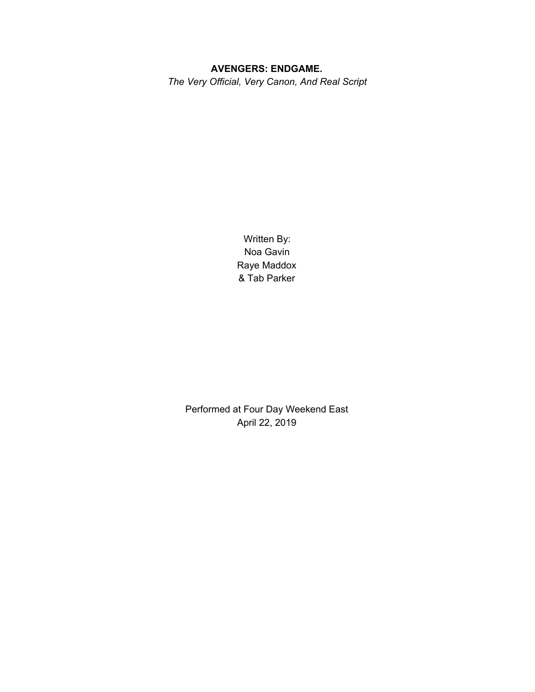### **AVENGERS: ENDGAME.**

*The Very Official, Very Canon, And Real Script*

Written By: Noa Gavin Raye Maddox & Tab Parker

Performed at Four Day Weekend East April 22, 2019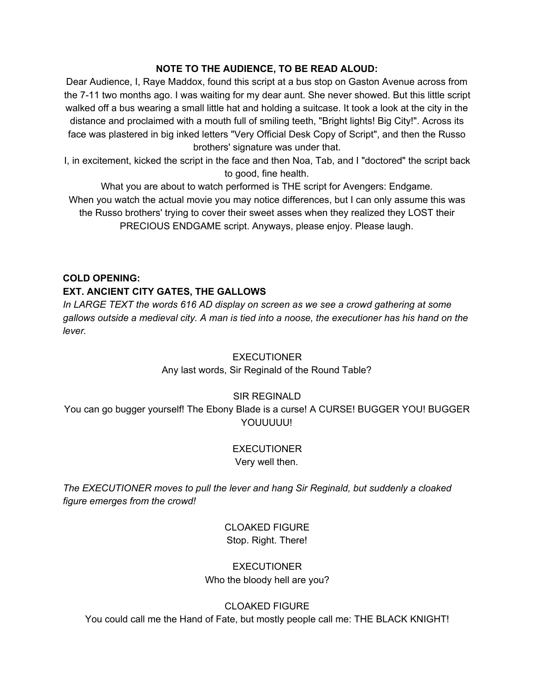### **NOTE TO THE AUDIENCE, TO BE READ ALOUD:**

Dear Audience, I, Raye Maddox, found this script at a bus stop on Gaston Avenue across from the 7-11 two months ago. I was waiting for my dear aunt. She never showed. But this little script walked off a bus wearing a small little hat and holding a suitcase. It took a look at the city in the distance and proclaimed with a mouth full of smiling teeth, "Bright lights! Big City!". Across its face was plastered in big inked letters "Very Official Desk Copy of Script", and then the Russo brothers' signature was under that.

I, in excitement, kicked the script in the face and then Noa, Tab, and I "doctored" the script back to good, fine health.

What you are about to watch performed is THE script for Avengers: Endgame. When you watch the actual movie you may notice differences, but I can only assume this was the Russo brothers' trying to cover their sweet asses when they realized they LOST their PRECIOUS ENDGAME script. Anyways, please enjoy. Please laugh.

## **COLD OPENING: EXT. ANCIENT CITY GATES, THE GALLOWS**

*In LARGE TEXT the words 616 AD display on screen as we see a crowd gathering at some* gallows outside a medieval city. A man is tied into a noose, the executioner has his hand on the *lever.*

### **EXECUTIONER** Any last words, Sir Reginald of the Round Table?

### SIR REGINALD

You can go bugger yourself! The Ebony Blade is a curse! A CURSE! BUGGER YOU! BUGGER YOUUUUU!

## **EXECUTIONER**

Very well then.

*The EXECUTIONER moves to pull the lever and hang Sir Reginald, but suddenly a cloaked figure emerges from the crowd!*

> CLOAKED FIGURE Stop. Right. There!

### **EXECUTIONER** Who the bloody hell are you?

### CLOAKED FIGURE You could call me the Hand of Fate, but mostly people call me: THE BLACK KNIGHT!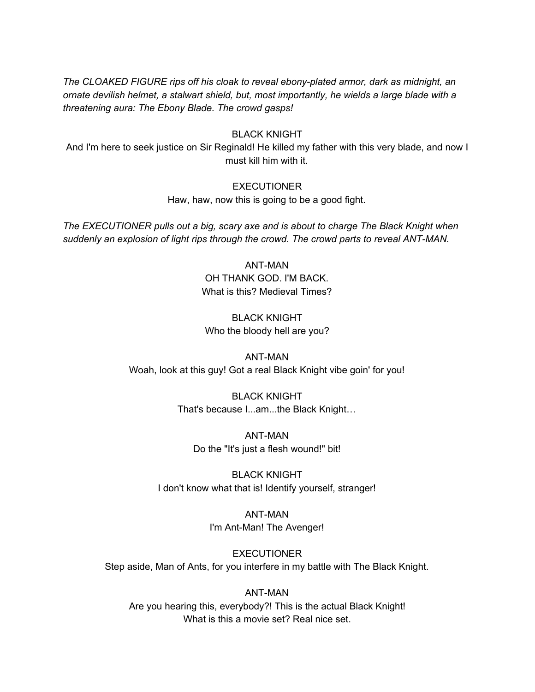*The CLOAKED FIGURE rips off his cloak to reveal ebony-plated armor, dark as midnight, an ornate devilish helmet, a stalwart shield, but, most importantly, he wields a large blade with a threatening aura: The Ebony Blade. The crowd gasps!*

### BLACK KNIGHT

And I'm here to seek justice on Sir Reginald! He killed my father with this very blade, and now I must kill him with it.

### **EXECUTIONER**

Haw, haw, now this is going to be a good fight.

*The EXECUTIONER pulls out a big, scary axe and is about to charge The Black Knight when suddenly an explosion of light rips through the crowd. The crowd parts to reveal ANT-MAN.*

### ANT-MAN OH THANK GOD. I'M BACK. What is this? Medieval Times?

### BLACK KNIGHT Who the bloody hell are you?

ANT-MAN Woah, look at this guy! Got a real Black Knight vibe goin' for you!

> BLACK KNIGHT That's because I...am...the Black Knight…

ANT-MAN Do the "It's just a flesh wound!" bit!

BLACK KNIGHT I don't know what that is! Identify yourself, stranger!

> ANT-MAN I'm Ant-Man! The Avenger!

**EXECUTIONER** Step aside, Man of Ants, for you interfere in my battle with The Black Knight.

ANT-MAN Are you hearing this, everybody?! This is the actual Black Knight! What is this a movie set? Real nice set.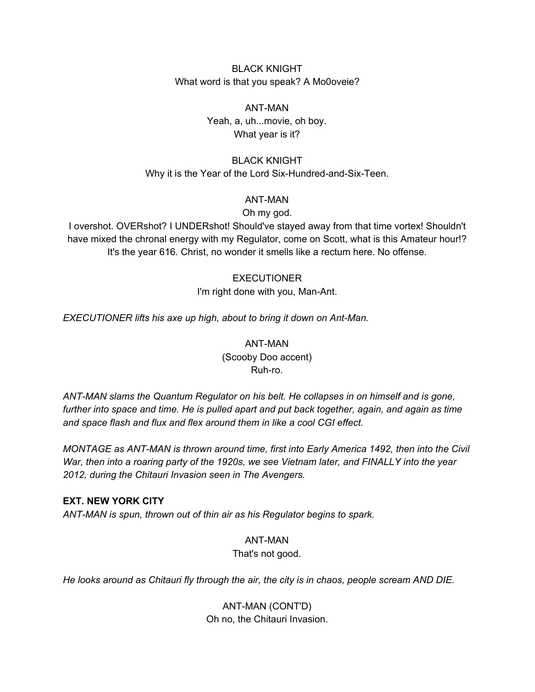### BLACK KNIGHT What word is that you speak? A Mo0oveie?

ANT-MAN Yeah, a, uh...movie, oh boy. What year is it?

### BLACK KNIGHT Why it is the Year of the Lord Six-Hundred-and-Six-Teen.

### ANT-MAN

### Oh my god.

I overshot. OVERshot? I UNDERshot! Should've stayed away from that time vortex! Shouldn't have mixed the chronal energy with my Regulator, come on Scott, what is this Amateur hour!? It's the year 616. Christ, no wonder it smells like a rectum here. No offense.

### **EXECUTIONER** I'm right done with you, Man-Ant.

*EXECUTIONER lifts his axe up high, about to bring it down on Ant-Man.*

ANT-MAN (Scooby Doo accent) Ruh-ro.

*ANT-MAN slams the Quantum Regulator on his belt. He collapses in on himself and is gone, further into space and time. He is pulled apart and put back together, again, and again as time and space flash and flux and flex around them in like a cool CGI effect.*

*MONTAGE as ANT-MAN is thrown around time, first into Early America 1492, then into the Civil War, then into a roaring party of the 1920s, we see Vietnam later, and FINALLY into the year 2012, during the Chitauri Invasion seen in The Avengers.*

### **EXT. NEW YORK CITY**

*ANT-MAN is spun, thrown out of thin air as his Regulator begins to spark.*

## ANT-MAN

### That's not good.

*He looks around as Chitauri fly through the air, the city is in chaos, people scream AND DIE.*

ANT-MAN (CONT'D) Oh no, the Chitauri Invasion.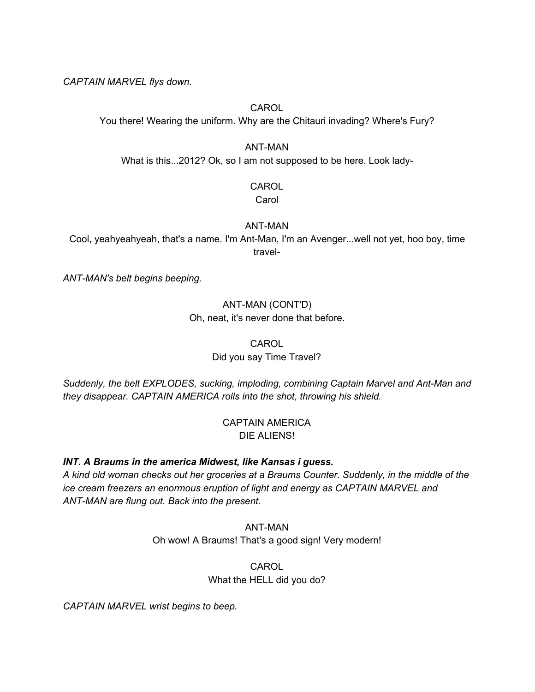*CAPTAIN MARVEL flys down.*

**CAROL** 

You there! Wearing the uniform. Why are the Chitauri invading? Where's Fury?

ANT-MAN

What is this...2012? Ok, so I am not supposed to be here. Look lady-

### **CAROL**

Carol

### ANT-MAN

Cool, yeahyeahyeah, that's a name. I'm Ant-Man, I'm an Avenger...well not yet, hoo boy, time travel-

*ANT-MAN's belt begins beeping.*

### ANT-MAN (CONT'D) Oh, neat, it's never done that before.

### CAROL Did you say Time Travel?

*Suddenly, the belt EXPLODES, sucking, imploding, combining Captain Marvel and Ant-Man and they disappear. CAPTAIN AMERICA rolls into the shot, throwing his shield.*

### CAPTAIN AMERICA DIE ALIENS!

### *INT. A Braums in the america Midwest, like Kansas i guess.*

*A kind old woman checks out her groceries at a Braums Counter. Suddenly, in the middle of the ice cream freezers an enormous eruption of light and energy as CAPTAIN MARVEL and ANT-MAN are flung out. Back into the present.*

> ANT-MAN Oh wow! A Braums! That's a good sign! Very modern!

> > **CAROL** What the HELL did you do?

*CAPTAIN MARVEL wrist begins to beep.*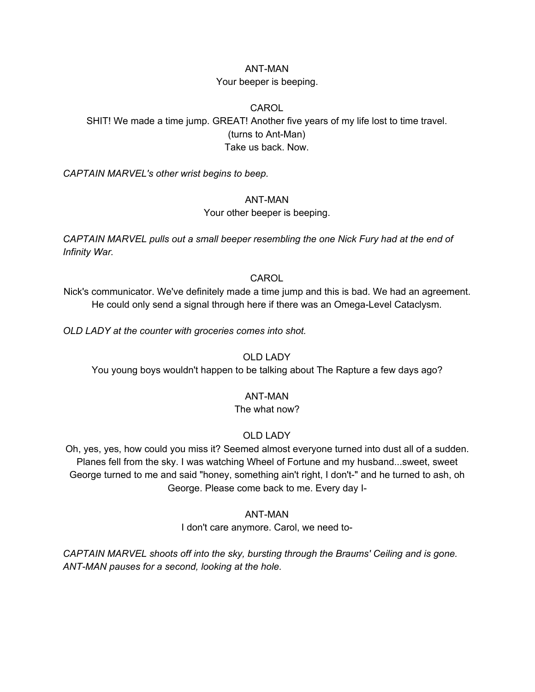### ANT-MAN

### Your beeper is beeping.

**CAROL** SHIT! We made a time jump. GREAT! Another five years of my life lost to time travel. (turns to Ant-Man) Take us back. Now.

*CAPTAIN MARVEL's other wrist begins to beep.*

### ANT-MAN

Your other beeper is beeping.

*CAPTAIN MARVEL pulls out a small beeper resembling the one Nick Fury had at the end of Infinity War.*

### **CAROL**

Nick's communicator. We've definitely made a time jump and this is bad. We had an agreement. He could only send a signal through here if there was an Omega-Level Cataclysm.

*OLD LADY at the counter with groceries comes into shot.*

### OLD LADY

You young boys wouldn't happen to be talking about The Rapture a few days ago?

### ANT-MAN

The what now?

### OLD LADY

Oh, yes, yes, how could you miss it? Seemed almost everyone turned into dust all of a sudden. Planes fell from the sky. I was watching Wheel of Fortune and my husband...sweet, sweet George turned to me and said "honey, something ain't right, I don't-" and he turned to ash, oh George. Please come back to me. Every day I-

### ANT-MAN

I don't care anymore. Carol, we need to-

*CAPTAIN MARVEL shoots off into the sky, bursting through the Braums' Ceiling and is gone. ANT-MAN pauses for a second, looking at the hole.*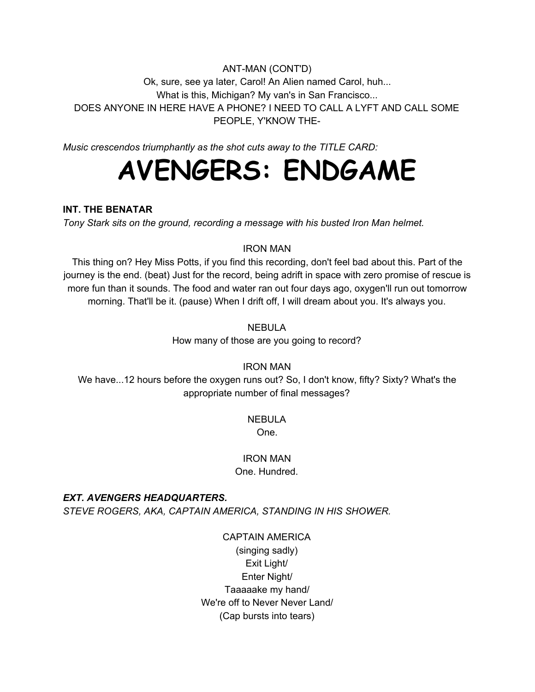### ANT-MAN (CONT'D) Ok, sure, see ya later, Carol! An Alien named Carol, huh... What is this, Michigan? My van's in San Francisco... DOES ANYONE IN HERE HAVE A PHONE? I NEED TO CALL A LYFT AND CALL SOME PEOPLE, Y'KNOW THE-

*Music crescendos triumphantly as the shot cuts away to the TITLE CARD:*

# **AVENGERS: ENDGAME**

### **INT. THE BENATAR**

*Tony Stark sits on the ground, recording a message with his busted Iron Man helmet.*

### IRON MAN

This thing on? Hey Miss Potts, if you find this recording, don't feel bad about this. Part of the journey is the end. (beat) Just for the record, being adrift in space with zero promise of rescue is more fun than it sounds. The food and water ran out four days ago, oxygen'll run out tomorrow morning. That'll be it. (pause) When I drift off, I will dream about you. It's always you.

NEBULA

How many of those are you going to record?

IRON MAN

We have...12 hours before the oxygen runs out? So, I don't know, fifty? Sixty? What's the appropriate number of final messages?

### **NEBULA**

One.

### IRON MAN One. Hundred.

### *EXT. AVENGERS HEADQUARTERS.*

*STEVE ROGERS, AKA, CAPTAIN AMERICA, STANDING IN HIS SHOWER.*

### CAPTAIN AMERICA (singing sadly) Exit Light/ Enter Night/ Taaaaake my hand/ We're off to Never Never Land/ (Cap bursts into tears)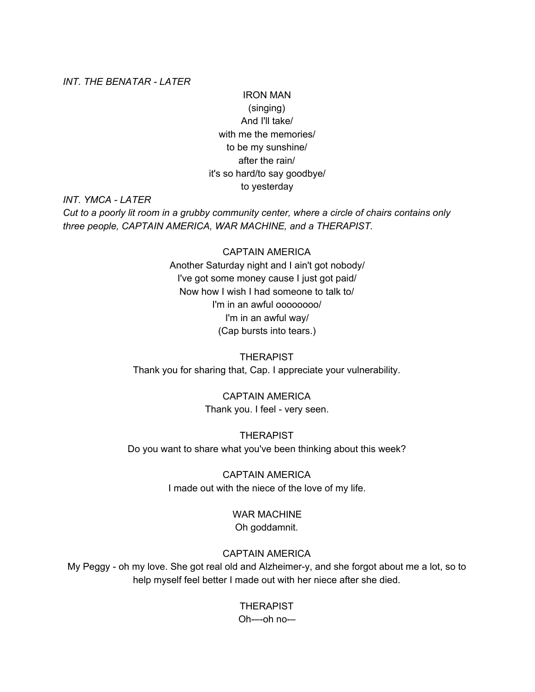### *INT. THE BENATAR - LATER*

IRON MAN (singing) And I'll take/ with me the memories/ to be my sunshine/ after the rain/ it's so hard/to say goodbye/ to yesterday

*INT. YMCA - LATER*

*Cut to a poorly lit room in a grubby community center, where a circle of chairs contains only three people, CAPTAIN AMERICA, WAR MACHINE, and a THERAPIST.*

> CAPTAIN AMERICA Another Saturday night and I ain't got nobody/ I've got some money cause I just got paid/ Now how I wish I had someone to talk to/ I'm in an awful oooooooo/ I'm in an awful way/ (Cap bursts into tears.)

THERAPIST Thank you for sharing that, Cap. I appreciate your vulnerability.

> CAPTAIN AMERICA Thank you. I feel - very seen.

THERAPIST Do you want to share what you've been thinking about this week?

> CAPTAIN AMERICA I made out with the niece of the love of my life.

> > WAR MACHINE Oh goddamnit.

### CAPTAIN AMERICA

My Peggy - oh my love. She got real old and Alzheimer-y, and she forgot about me a lot, so to help myself feel better I made out with her niece after she died.

> THERAPIST Oh-–-oh no-–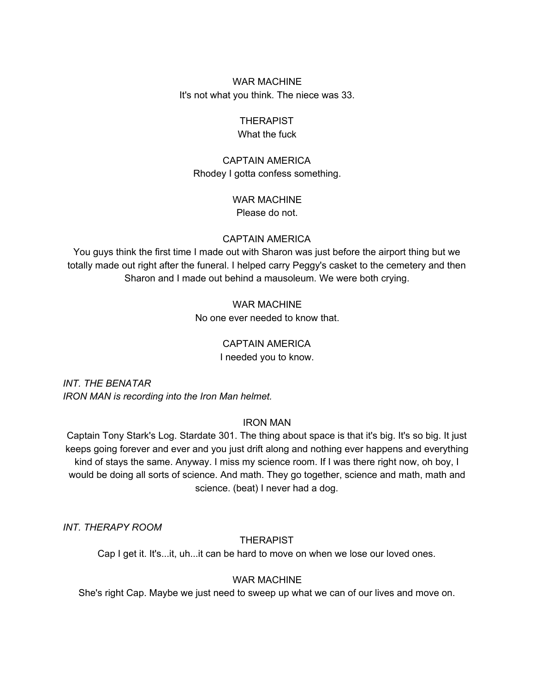### WAR MACHINE It's not what you think. The niece was 33.

### THERAPIST

What the fuck

### CAPTAIN AMERICA Rhodey I gotta confess something.

### WAR MACHINE Please do not.

### CAPTAIN AMERICA

You guys think the first time I made out with Sharon was just before the airport thing but we totally made out right after the funeral. I helped carry Peggy's casket to the cemetery and then Sharon and I made out behind a mausoleum. We were both crying.

> WAR MACHINE No one ever needed to know that.

## CAPTAIN AMERICA

I needed you to know.

*INT. THE BENATAR IRON MAN is recording into the Iron Man helmet.*

### IRON MAN

Captain Tony Stark's Log. Stardate 301. The thing about space is that it's big. It's so big. It just keeps going forever and ever and you just drift along and nothing ever happens and everything kind of stays the same. Anyway. I miss my science room. If I was there right now, oh boy, I would be doing all sorts of science. And math. They go together, science and math, math and science. (beat) I never had a dog.

*INT. THERAPY ROOM*

### THERAPIST

Cap I get it. It's...it, uh...it can be hard to move on when we lose our loved ones.

### WAR MACHINE

She's right Cap. Maybe we just need to sweep up what we can of our lives and move on.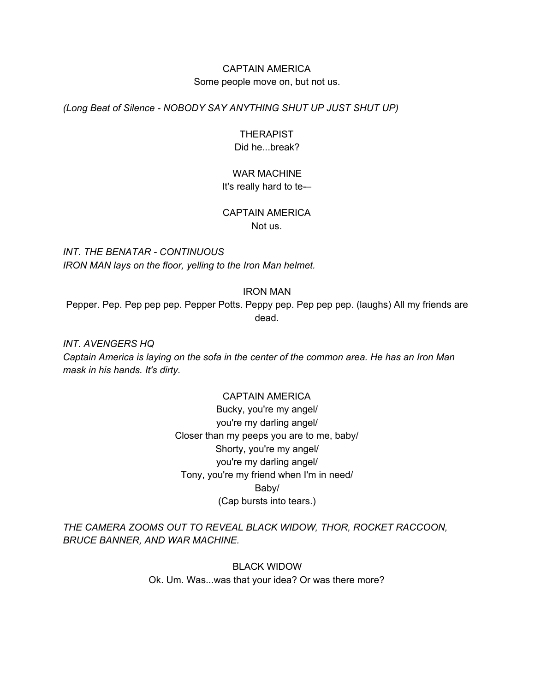### CAPTAIN AMERICA Some people move on, but not us.

*(Long Beat of Silence - NOBODY SAY ANYTHING SHUT UP JUST SHUT UP)*

### THERAPIST Did he...break?

### WAR MACHINE It's really hard to te-–

## CAPTAIN AMERICA

Not us.

*INT. THE BENATAR - CONTINUOUS IRON MAN lays on the floor, yelling to the Iron Man helmet.*

### IRON MAN

Pepper. Pep. Pep pep pep. Pepper Potts. Peppy pep. Pep pep pep. (laughs) All my friends are dead.

*INT. AVENGERS HQ*

*Captain America is laying on the sofa in the center of the common area. He has an Iron Man mask in his hands. It's dirty.*

### CAPTAIN AMERICA

Bucky, you're my angel/ you're my darling angel/ Closer than my peeps you are to me, baby/ Shorty, you're my angel/ you're my darling angel/ Tony, you're my friend when I'm in need/ Baby/ (Cap bursts into tears.)

*THE CAMERA ZOOMS OUT TO REVEAL BLACK WIDOW, THOR, ROCKET RACCOON, BRUCE BANNER, AND WAR MACHINE.*

> BLACK WIDOW Ok. Um. Was...was that your idea? Or was there more?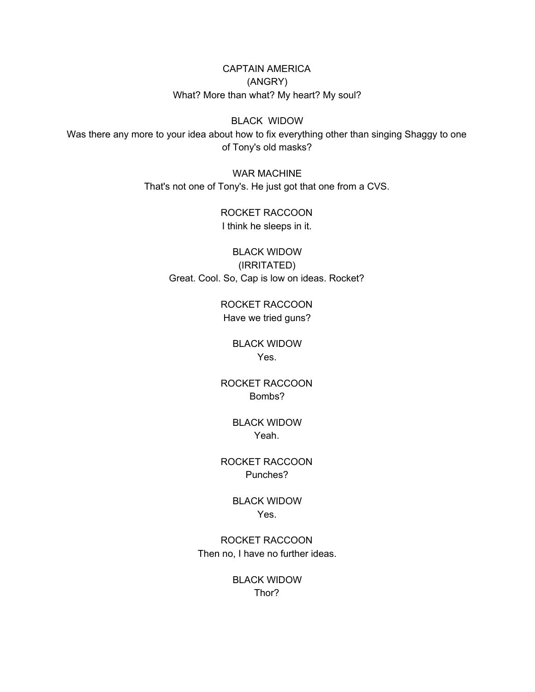### CAPTAIN AMERICA (ANGRY) What? More than what? My heart? My soul?

BLACK WIDOW

Was there any more to your idea about how to fix everything other than singing Shaggy to one of Tony's old masks?

> WAR MACHINE That's not one of Tony's. He just got that one from a CVS.

> > ROCKET RACCOON I think he sleeps in it.

BLACK WIDOW (IRRITATED) Great. Cool. So, Cap is low on ideas. Rocket?

> ROCKET RACCOON Have we tried guns?

> > BLACK WIDOW Yes.

ROCKET RACCOON Bombs?

> BLACK WIDOW Yeah.

ROCKET RACCOON Punches?

> BLACK WIDOW Yes.

ROCKET RACCOON Then no, I have no further ideas.

> BLACK WIDOW Thor?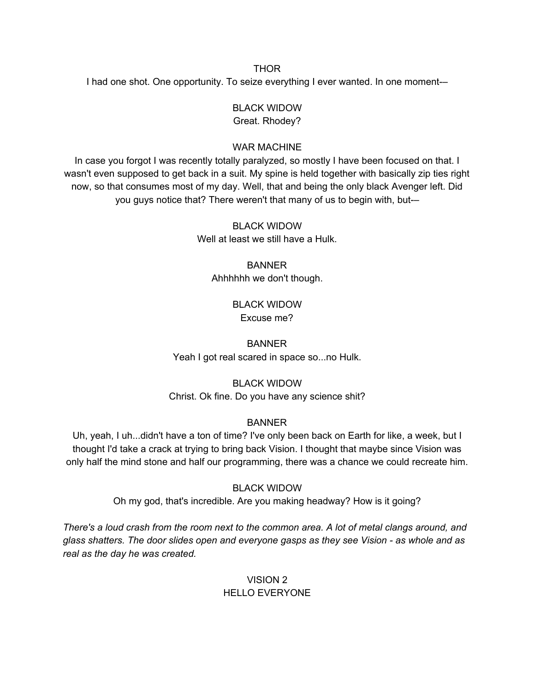### **THOR** I had one shot. One opportunity. To seize everything I ever wanted. In one moment-–

### BLACK WIDOW

### Great. Rhodey?

### WAR MACHINE

In case you forgot I was recently totally paralyzed, so mostly I have been focused on that. I wasn't even supposed to get back in a suit. My spine is held together with basically zip ties right now, so that consumes most of my day. Well, that and being the only black Avenger left. Did you guys notice that? There weren't that many of us to begin with, but-–

> BLACK WIDOW Well at least we still have a Hulk.

BANNER Ahhhhhh we don't though.

### BLACK WIDOW Excuse me?

**BANNER** Yeah I got real scared in space so...no Hulk.

### BLACK WIDOW

Christ. Ok fine. Do you have any science shit?

### **BANNER**

Uh, yeah, I uh...didn't have a ton of time? I've only been back on Earth for like, a week, but I thought I'd take a crack at trying to bring back Vision. I thought that maybe since Vision was only half the mind stone and half our programming, there was a chance we could recreate him.

BLACK WIDOW

Oh my god, that's incredible. Are you making headway? How is it going?

There's a loud crash from the room next to the common area. A lot of metal clangs around, and *glass shatters. The door slides open and everyone gasps as they see Vision - as whole and as real as the day he was created.*

### VISION 2 HELLO EVERYONE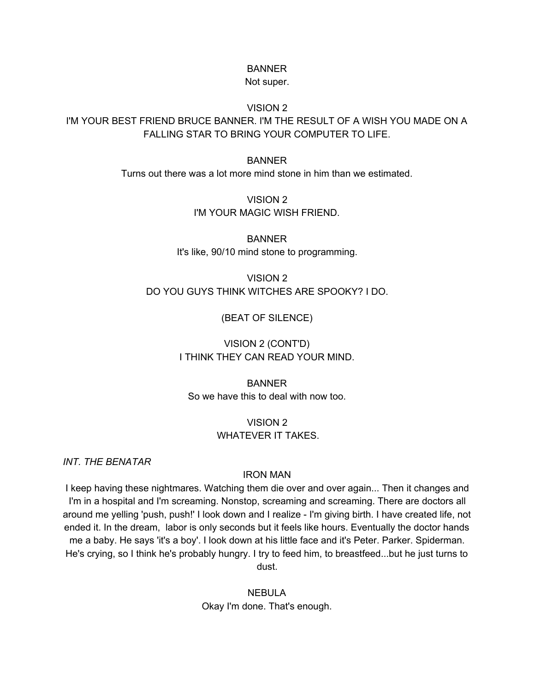### BANNER

### Not super.

### VISION 2

I'M YOUR BEST FRIEND BRUCE BANNER. I'M THE RESULT OF A WISH YOU MADE ON A FALLING STAR TO BRING YOUR COMPUTER TO LIFE.

### **BANNER**

Turns out there was a lot more mind stone in him than we estimated.

VISION 2 I'M YOUR MAGIC WISH FRIEND.

BANNER It's like, 90/10 mind stone to programming.

### VISION 2 DO YOU GUYS THINK WITCHES ARE SPOOKY? I DO.

(BEAT OF SILENCE)

### VISION 2 (CONT'D) I THINK THEY CAN READ YOUR MIND.

**BANNER** So we have this to deal with now too.

### VISION 2 WHATEVER IT TAKES.

*INT. THE BENATAR*

### IRON MAN

I keep having these nightmares. Watching them die over and over again... Then it changes and I'm in a hospital and I'm screaming. Nonstop, screaming and screaming. There are doctors all around me yelling 'push, push!' I look down and I realize - I'm giving birth. I have created life, not ended it. In the dream, labor is only seconds but it feels like hours. Eventually the doctor hands me a baby. He says 'it's a boy'. I look down at his little face and it's Peter. Parker. Spiderman. He's crying, so I think he's probably hungry. I try to feed him, to breastfeed...but he just turns to dust.

> NEBULA Okay I'm done. That's enough.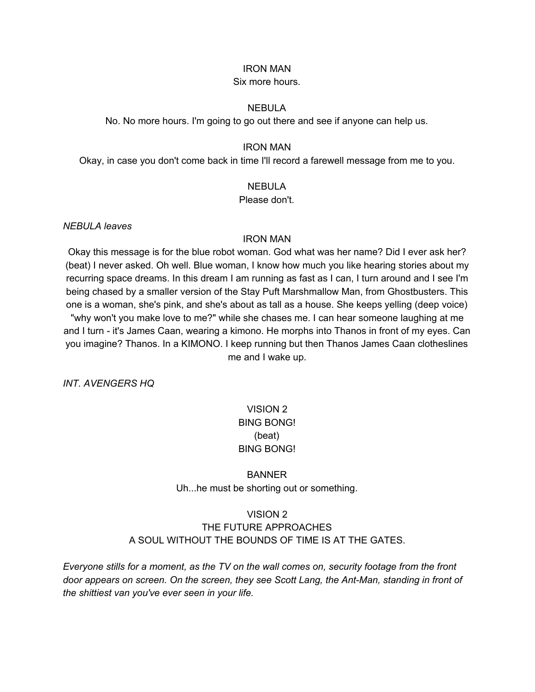### IRON MAN

#### Six more hours.

### NEBULA

No. No more hours. I'm going to go out there and see if anyone can help us.

### IRON MAN

Okay, in case you don't come back in time I'll record a farewell message from me to you.

### **NEBULA**

### Please don't.

*NEBULA leaves*

#### IRON MAN

Okay this message is for the blue robot woman. God what was her name? Did I ever ask her? (beat) I never asked. Oh well. Blue woman, I know how much you like hearing stories about my recurring space dreams. In this dream I am running as fast as I can, I turn around and I see I'm being chased by a smaller version of the Stay Puft Marshmallow Man, from Ghostbusters. This one is a woman, she's pink, and she's about as tall as a house. She keeps yelling (deep voice) "why won't you make love to me?" while she chases me. I can hear someone laughing at me and I turn - it's James Caan, wearing a kimono. He morphs into Thanos in front of my eyes. Can you imagine? Thanos. In a KIMONO. I keep running but then Thanos James Caan clotheslines me and I wake up.

*INT. AVENGERS HQ*

### VISION 2 BING BONG! (beat) BING BONG!

### BANNER Uh...he must be shorting out or something.

### VISION 2 THE FUTURE APPROACHES A SOUL WITHOUT THE BOUNDS OF TIME IS AT THE GATES.

*Everyone stills for a moment, as the TV on the wall comes on, security footage from the front door appears on screen. On the screen, they see Scott Lang, the Ant-Man, standing in front of the shittiest van you've ever seen in your life.*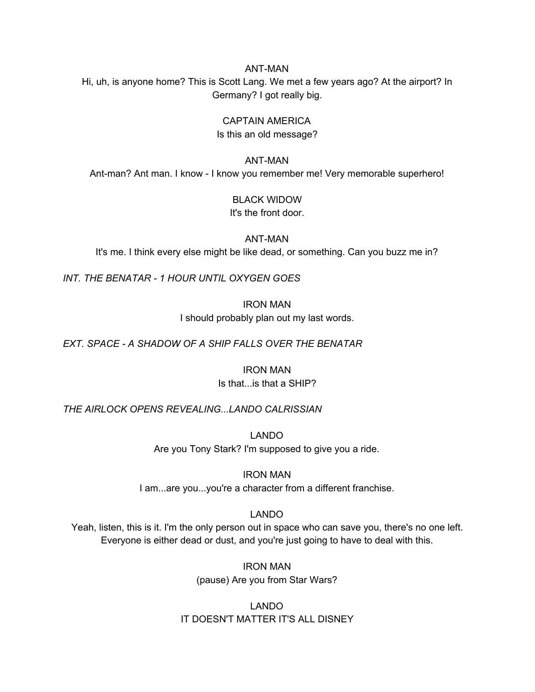### ANT-MAN

Hi, uh, is anyone home? This is Scott Lang. We met a few years ago? At the airport? In Germany? I got really big.

### CAPTAIN AMERICA

Is this an old message?

### ANT-MAN

Ant-man? Ant man. I know - I know you remember me! Very memorable superhero!

### BLACK WIDOW It's the front door.

ANT-MAN It's me. I think every else might be like dead, or something. Can you buzz me in?

*INT. THE BENATAR - 1 HOUR UNTIL OXYGEN GOES*

IRON MAN I should probably plan out my last words.

*EXT. SPACE - A SHADOW OF A SHIP FALLS OVER THE BENATAR*

### IRON MAN Is that...is that a SHIP?

*THE AIRLOCK OPENS REVEALING...LANDO CALRISSIAN*

LANDO Are you Tony Stark? I'm supposed to give you a ride.

### IRON MAN

I am...are you...you're a character from a different franchise.

### LANDO

Yeah, listen, this is it. I'm the only person out in space who can save you, there's no one left. Everyone is either dead or dust, and you're just going to have to deal with this.

> IRON MAN (pause) Are you from Star Wars?

LANDO IT DOESN'T MATTER IT'S ALL DISNEY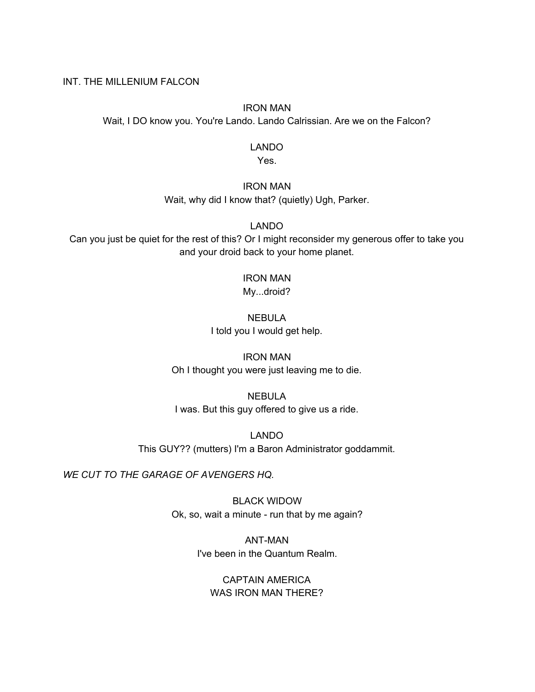INT. THE MILLENIUM FALCON

### IRON MAN

Wait, I DO know you. You're Lando. Lando Calrissian. Are we on the Falcon?

### LANDO

Yes.

### IRON MAN

Wait, why did I know that? (quietly) Ugh, Parker.

LANDO

Can you just be quiet for the rest of this? Or I might reconsider my generous offer to take you and your droid back to your home planet.

### IRON MAN My...droid?

NEBULA I told you I would get help.

### IRON MAN

Oh I thought you were just leaving me to die.

### NEBULA

I was. But this guy offered to give us a ride.

LANDO This GUY?? (mutters) I'm a Baron Administrator goddammit.

*WE CUT TO THE GARAGE OF AVENGERS HQ.*

BLACK WIDOW Ok, so, wait a minute - run that by me again?

> ANT-MAN I've been in the Quantum Realm.

### CAPTAIN AMERICA WAS IRON MAN THERE?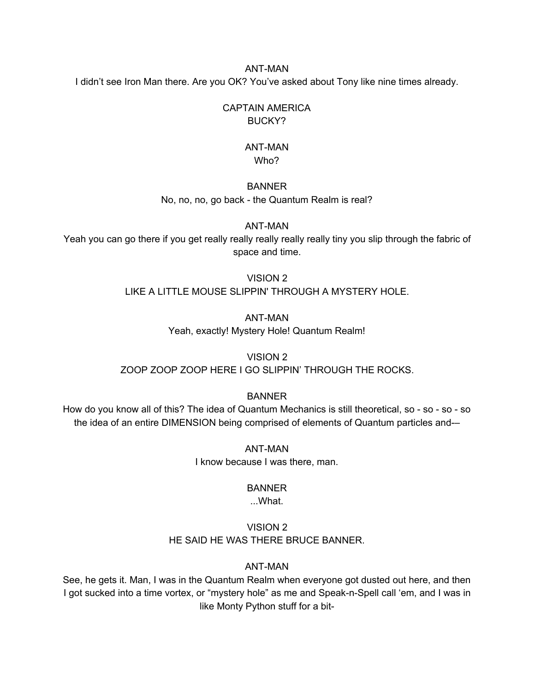### ANT-MAN I didn't see Iron Man there. Are you OK? You've asked about Tony like nine times already.

CAPTAIN AMERICA BUCKY?

### ANT-MAN Who?

### BANNER

No, no, no, go back - the Quantum Realm is real?

### ANT-MAN

Yeah you can go there if you get really really really really really tiny you slip through the fabric of space and time.

### VISION 2

LIKE A LITTLE MOUSE SLIPPIN' THROUGH A MYSTERY HOLE.

ANT-MAN Yeah, exactly! Mystery Hole! Quantum Realm!

### VISION 2

ZOOP ZOOP ZOOP HERE I GO SLIPPIN' THROUGH THE ROCKS.

### BANNER

How do you know all of this? The idea of Quantum Mechanics is still theoretical, so - so - so - so the idea of an entire DIMENSION being comprised of elements of Quantum particles and-–

> ANT-MAN I know because I was there, man.

### BANNER

### ...What.

### VISION 2 HE SAID HE WAS THERE BRUCE BANNER.

### ANT-MAN

See, he gets it. Man, I was in the Quantum Realm when everyone got dusted out here, and then I got sucked into a time vortex, or "mystery hole" as me and Speak-n-Spell call 'em, and I was in like Monty Python stuff for a bit-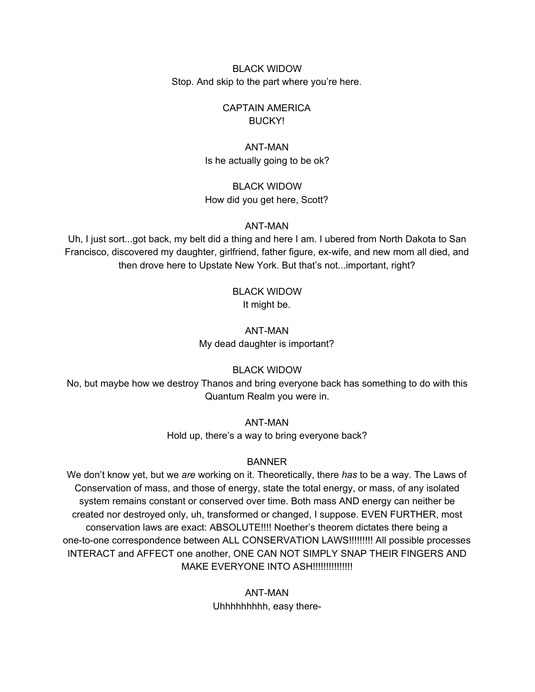BLACK WIDOW Stop. And skip to the part where you're here.

### CAPTAIN AMERICA BUCKY!

### ANT-MAN Is he actually going to be ok?

### BLACK WIDOW How did you get here, Scott?

ANT-MAN

Uh, I just sort...got back, my belt did a thing and here I am. I ubered from North Dakota to San Francisco, discovered my daughter, girlfriend, father figure, ex-wife, and new mom all died, and then drove here to Upstate New York. But that's not...important, right?

> BLACK WIDOW It might be.

### ANT-MAN My dead daughter is important?

### BLACK WIDOW

No, but maybe how we destroy Thanos and bring everyone back has something to do with this Quantum Realm you were in.

ANT-MAN

Hold up, there's a way to bring everyone back?

### **BANNER**

We don't know yet, but we *are* working on it. Theoretically, there *has* to be a way. The Laws of Conservation of mass, and those of energy, state the total energy, or mass, of any isolated system remains constant or conserved over time. Both mass AND energy can neither be created nor destroyed only, uh, transformed or changed, I suppose. EVEN FURTHER, most conservation laws are exact: ABSOLUTE!!!! Noether's theorem dictates there being a one-to-one correspondence between ALL CONSERVATION LAWS!!!!!!!!! All possible processes INTERACT and AFFECT one another, ONE CAN NOT SIMPLY SNAP THEIR FINGERS AND MAKE EVERYONE INTO ASH!!!!!!!!!!!!!!!!!

> ANT-MAN Uhhhhhhhhh, easy there-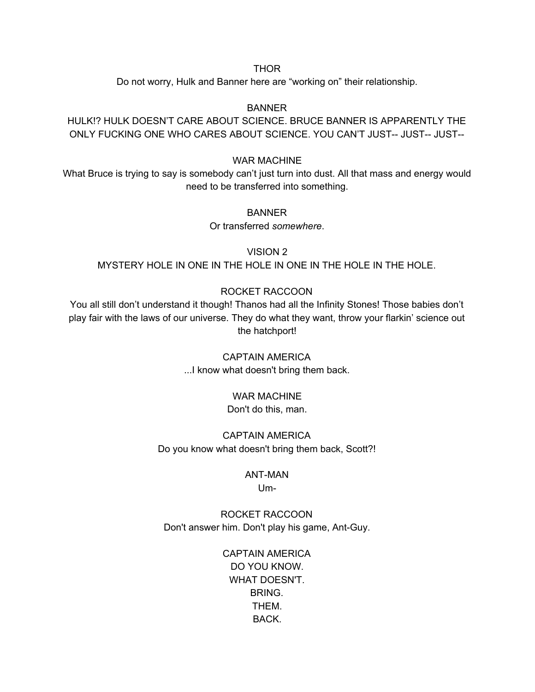### **THOR**

Do not worry, Hulk and Banner here are "working on" their relationship.

### **BANNER**

### HULK!? HULK DOESN'T CARE ABOUT SCIENCE. BRUCE BANNER IS APPARENTLY THE ONLY FUCKING ONE WHO CARES ABOUT SCIENCE. YOU CAN'T JUST-- JUST-- JUST--

### WAR MACHINE

What Bruce is trying to say is somebody can't just turn into dust. All that mass and energy would need to be transferred into something.

### BANNER

Or transferred *somewhere*.

### VISION 2

MYSTERY HOLE IN ONE IN THE HOLE IN ONE IN THE HOLE IN THE HOLE.

### ROCKET RACCOON

You all still don't understand it though! Thanos had all the Infinity Stones! Those babies don't play fair with the laws of our universe. They do what they want, throw your flarkin' science out the hatchport!

### CAPTAIN AMERICA ...I know what doesn't bring them back.

### WAR MACHINE Don't do this, man.

### CAPTAIN AMERICA Do you know what doesn't bring them back, Scott?!

### ANT-MAN

Um-

### ROCKET RACCOON Don't answer him. Don't play his game, Ant-Guy.

CAPTAIN AMERICA DO YOU KNOW. WHAT DOESN'T. BRING. THEM. BACK.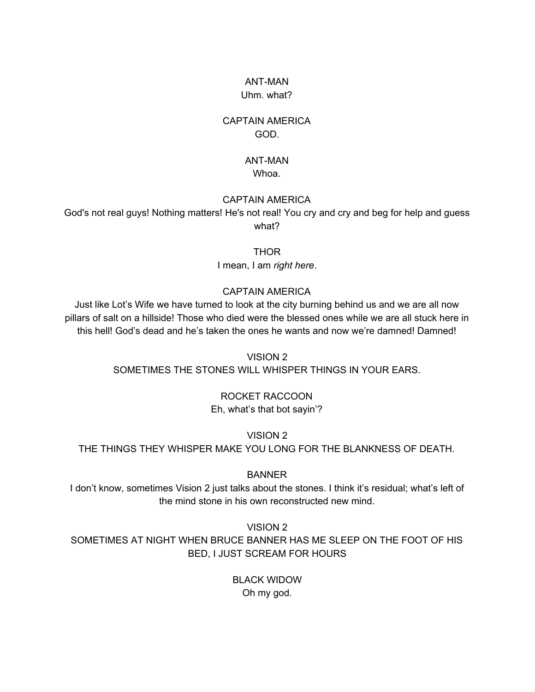### ANT-MAN Uhm. what?

### CAPTAIN AMERICA GOD.

## ANT-MAN

### Whoa.

### CAPTAIN AMERICA

God's not real guys! Nothing matters! He's not real! You cry and cry and beg for help and guess what?

### **THOR**

I mean, I am *right here*.

### CAPTAIN AMERICA

Just like Lot's Wife we have turned to look at the city burning behind us and we are all now pillars of salt on a hillside! Those who died were the blessed ones while we are all stuck here in this hell! God's dead and he's taken the ones he wants and now we're damned! Damned!

VISION 2

SOMETIMES THE STONES WILL WHISPER THINGS IN YOUR EARS.

## ROCKET RACCOON

Eh, what's that bot sayin'?

VISION 2

THE THINGS THEY WHISPER MAKE YOU LONG FOR THE BLANKNESS OF DEATH.

### BANNER

I don't know, sometimes Vision 2 just talks about the stones. I think it's residual; what's left of the mind stone in his own reconstructed new mind.

VISION 2

SOMETIMES AT NIGHT WHEN BRUCE BANNER HAS ME SLEEP ON THE FOOT OF HIS BED, I JUST SCREAM FOR HOURS

> BLACK WIDOW Oh my god.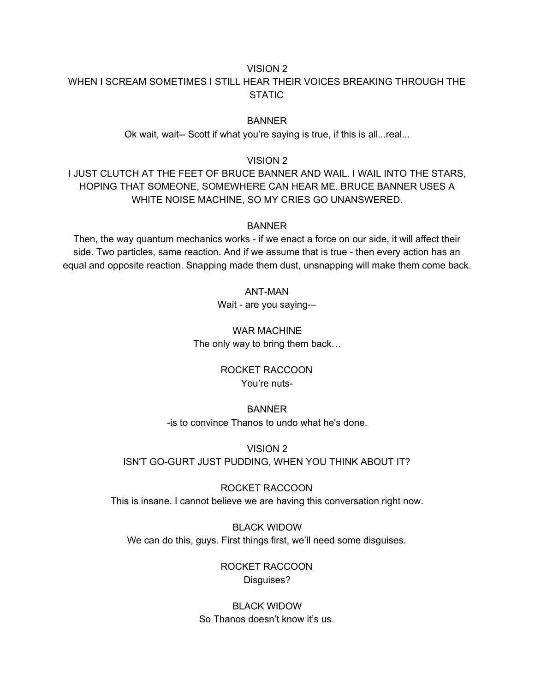### VISION 2

### WHEN I SCREAM SOMETIMES I STILL HEAR THEIR VOICES BREAKING THROUGH THE **STATIC**

### BANNER

Ok wait, wait-- Scott if what you're saying is true, if this is all...real...

### VISION 2

I JUST CLUTCH AT THE FEET OF BRUCE BANNER AND WAIL. I WAIL INTO THE STARS, HOPING THAT SOMEONE, SOMEWHERE CAN HEAR ME. BRUCE BANNER USES A WHITE NOISE MACHINE, SO MY CRIES GO UNANSWERED.

### BANNER

Then, the way quantum mechanics works - if we enact a force on our side, it will affect their side. Two particles, same reaction. And if we assume that is true - then every action has an equal and opposite reaction. Snapping made them dust, unsnapping will make them come back.

### ANT-MAN

Wait - are you saying-–

WAR MACHINE The only way to bring them back…

> ROCKET RACCOON You're nuts-

### **BANNER**

-is to convince Thanos to undo what he's done.

VISION 2 ISN'T GO-GURT JUST PUDDING, WHEN YOU THINK ABOUT IT?

ROCKET RACCOON This is insane. I cannot believe we are having this conversation right now.

BLACK WIDOW We can do this, guys. First things first, we'll need some disguises.

> ROCKET RACCOON Disguises?

BLACK WIDOW So Thanos doesn't know it's us.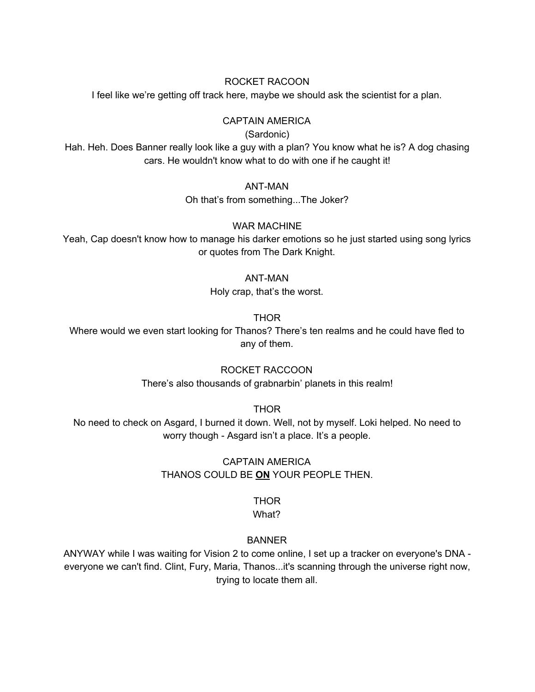### ROCKET RACOON

I feel like we're getting off track here, maybe we should ask the scientist for a plan.

### CAPTAIN AMERICA

(Sardonic)

Hah. Heh. Does Banner really look like a guy with a plan? You know what he is? A dog chasing cars. He wouldn't know what to do with one if he caught it!

### ANT-MAN

Oh that's from something...The Joker?

### WAR MACHINE

Yeah, Cap doesn't know how to manage his darker emotions so he just started using song lyrics or quotes from The Dark Knight.

### ANT-MAN

Holy crap, that's the worst.

### **THOR**

Where would we even start looking for Thanos? There's ten realms and he could have fled to any of them.

## ROCKET RACCOON

There's also thousands of grabnarbin' planets in this realm!

**THOR** 

No need to check on Asgard, I burned it down. Well, not by myself. Loki helped. No need to worry though - Asgard isn't a place. It's a people.

### CAPTAIN AMERICA THANOS COULD BE **ON** YOUR PEOPLE THEN.

### **THOR**

What?

### BANNER

ANYWAY while I was waiting for Vision 2 to come online, I set up a tracker on everyone's DNA everyone we can't find. Clint, Fury, Maria, Thanos...it's scanning through the universe right now, trying to locate them all.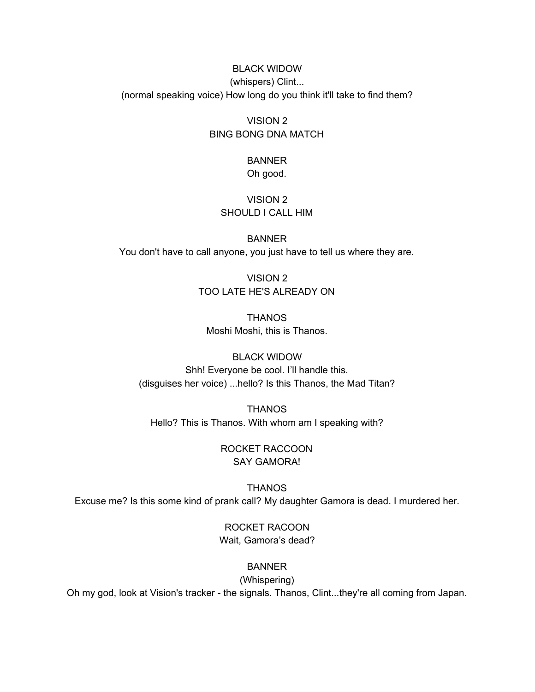### BLACK WIDOW (whispers) Clint... (normal speaking voice) How long do you think it'll take to find them?

### VISION 2 BING BONG DNA MATCH

### BANNER Oh good.

### VISION 2 SHOULD I CALL HIM

BANNER You don't have to call anyone, you just have to tell us where they are.

> VISION 2 TOO LATE HE'S ALREADY ON

**THANOS** Moshi Moshi, this is Thanos.

BLACK WIDOW Shh! Everyone be cool. I'll handle this. (disguises her voice) ...hello? Is this Thanos, the Mad Titan?

**THANOS** Hello? This is Thanos. With whom am I speaking with?

> ROCKET RACCOON SAY GAMORA!

**THANOS** Excuse me? Is this some kind of prank call? My daughter Gamora is dead. I murdered her.

> ROCKET RACOON Wait, Gamora's dead?

### BANNER

(Whispering) Oh my god, look at Vision's tracker - the signals. Thanos, Clint...they're all coming from Japan.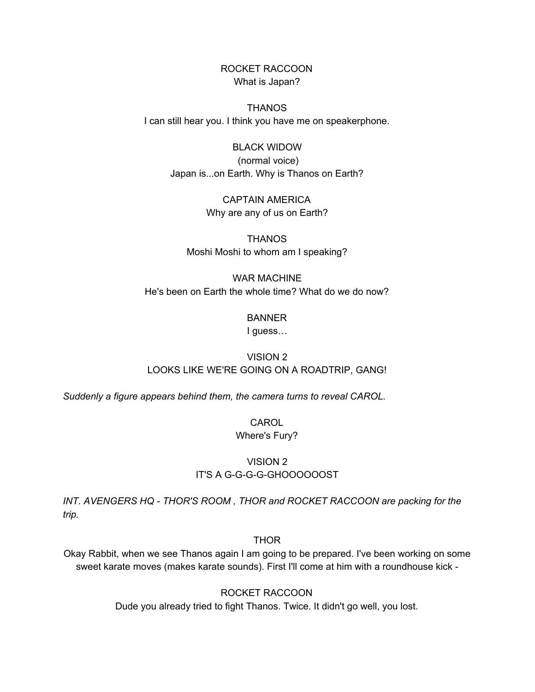ROCKET RACCOON What is Japan?

**THANOS** I can still hear you. I think you have me on speakerphone.

> BLACK WIDOW (normal voice) Japan is...on Earth. Why is Thanos on Earth?

> > CAPTAIN AMERICA Why are any of us on Earth?

**THANOS** Moshi Moshi to whom am I speaking?

WAR MACHINE He's been on Earth the whole time? What do we do now?

> BANNER I guess…

VISION 2 LOOKS LIKE WE'RE GOING ON A ROADTRIP, GANG!

*Suddenly a figure appears behind them, the camera turns to reveal CAROL.*

**CAROL** Where's Fury?

### VISION 2 IT'S A G-G-G-G-GHOOOOOOST

*INT. AVENGERS HQ - THOR'S ROOM , THOR and ROCKET RACCOON are packing for the trip.*

**THOR** 

Okay Rabbit, when we see Thanos again I am going to be prepared. I've been working on some sweet karate moves (makes karate sounds). First I'll come at him with a roundhouse kick -

> ROCKET RACCOON Dude you already tried to fight Thanos. Twice. It didn't go well, you lost.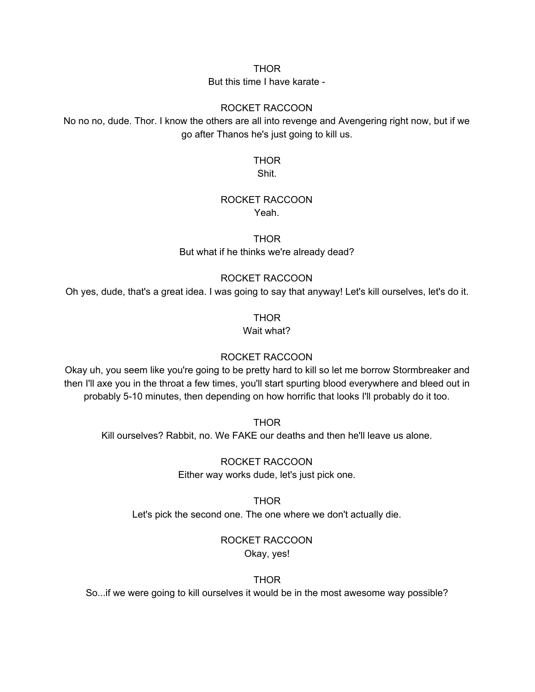**THOR** 

But this time I have karate -

### ROCKET RACCOON

No no no, dude. Thor. I know the others are all into revenge and Avengering right now, but if we go after Thanos he's just going to kill us.

## **THOR**

Shit.

### ROCKET RACCOON Yeah.

**THOR** But what if he thinks we're already dead?

### ROCKET RACCOON

Oh yes, dude, that's a great idea. I was going to say that anyway! Let's kill ourselves, let's do it.

### **THOR**

Wait what?

### ROCKET RACCOON

Okay uh, you seem like you're going to be pretty hard to kill so let me borrow Stormbreaker and then I'll axe you in the throat a few times, you'll start spurting blood everywhere and bleed out in probably 5-10 minutes, then depending on how horrific that looks I'll probably do it too.

**THOR** 

Kill ourselves? Rabbit, no. We FAKE our deaths and then he'll leave us alone.

ROCKET RACCOON Either way works dude, let's just pick one.

**THOR** Let's pick the second one. The one where we don't actually die.

> ROCKET RACCOON Okay, yes!

### **THOR**

So...if we were going to kill ourselves it would be in the most awesome way possible?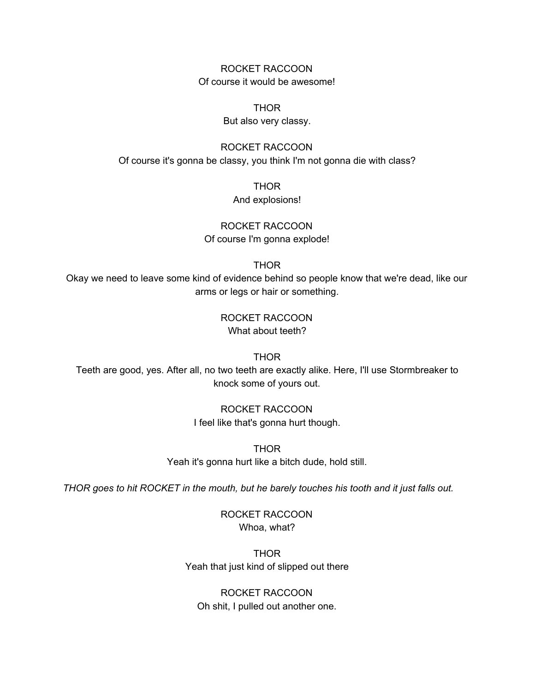ROCKET RACCOON Of course it would be awesome!

### **THOR** But also very classy.

ROCKET RACCOON Of course it's gonna be classy, you think I'm not gonna die with class?

### **THOR** And explosions!

ROCKET RACCOON Of course I'm gonna explode!

**THOR** 

Okay we need to leave some kind of evidence behind so people know that we're dead, like our arms or legs or hair or something.

> ROCKET RACCOON What about teeth?

> > **THOR**

Teeth are good, yes. After all, no two teeth are exactly alike. Here, I'll use Stormbreaker to knock some of yours out.

### ROCKET RACCOON

I feel like that's gonna hurt though.

**THOR** Yeah it's gonna hurt like a bitch dude, hold still.

THOR goes to hit ROCKET in the mouth, but he barely touches his tooth and it just falls out.

ROCKET RACCOON Whoa, what?

**THOR** Yeah that just kind of slipped out there

ROCKET RACCOON Oh shit, I pulled out another one.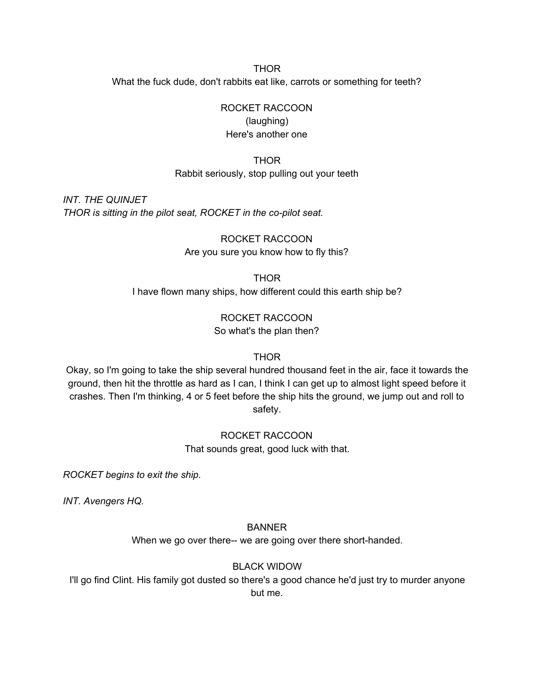### **THOR** What the fuck dude, don't rabbits eat like, carrots or something for teeth?

### ROCKET RACCOON (laughing) Here's another one

### **THOR** Rabbit seriously, stop pulling out your teeth

*INT. THE QUINJET THOR is sitting in the pilot seat, ROCKET in the co-pilot seat.*

> ROCKET RACCOON Are you sure you know how to fly this?

**THOR** I have flown many ships, how different could this earth ship be?

ROCKET RACCOON

So what's the plan then?

### **THOR**

Okay, so I'm going to take the ship several hundred thousand feet in the air, face it towards the ground, then hit the throttle as hard as I can, I think I can get up to almost light speed before it crashes. Then I'm thinking, 4 or 5 feet before the ship hits the ground, we jump out and roll to safety.

> ROCKET RACCOON That sounds great, good luck with that.

*ROCKET begins to exit the ship.*

*INT. Avengers HQ.*

### BANNER

When we go over there-- we are going over there short-handed.

### BLACK WIDOW

I'll go find Clint. His family got dusted so there's a good chance he'd just try to murder anyone but me.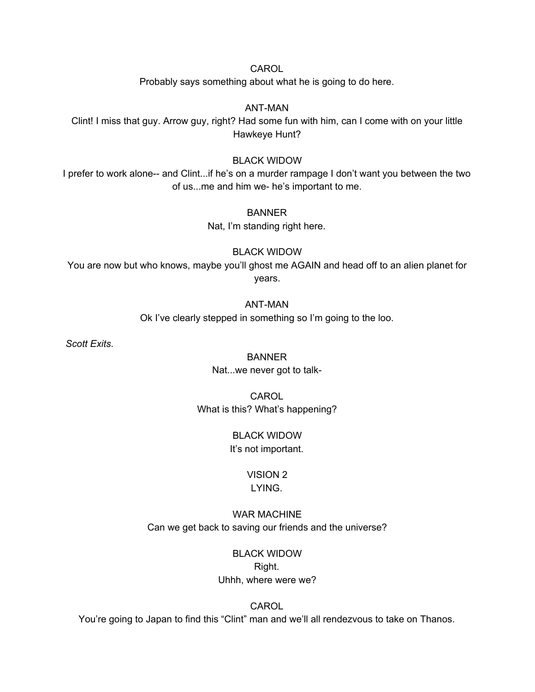### **CAROL**

Probably says something about what he is going to do here.

### ANT-MAN

Clint! I miss that guy. Arrow guy, right? Had some fun with him, can I come with on your little Hawkeye Hunt?

### BLACK WIDOW

I prefer to work alone-- and Clint...if he's on a murder rampage I don't want you between the two of us...me and him we- he's important to me.

### BANNER

Nat, I'm standing right here.

### BLACK WIDOW

You are now but who knows, maybe you'll ghost me AGAIN and head off to an alien planet for years.

### ANT-MAN

Ok I've clearly stepped in something so I'm going to the loo.

*Scott Exits*.

### BANNER Nat...we never got to talk-

**CAROL** What is this? What's happening?

### BLACK WIDOW It's not important.

## VISION 2

### LYING.

### WAR MACHINE Can we get back to saving our friends and the universe?

### BLACK WIDOW Right. Uhhh, where were we?

### **CAROL** You're going to Japan to find this "Clint" man and we'll all rendezvous to take on Thanos.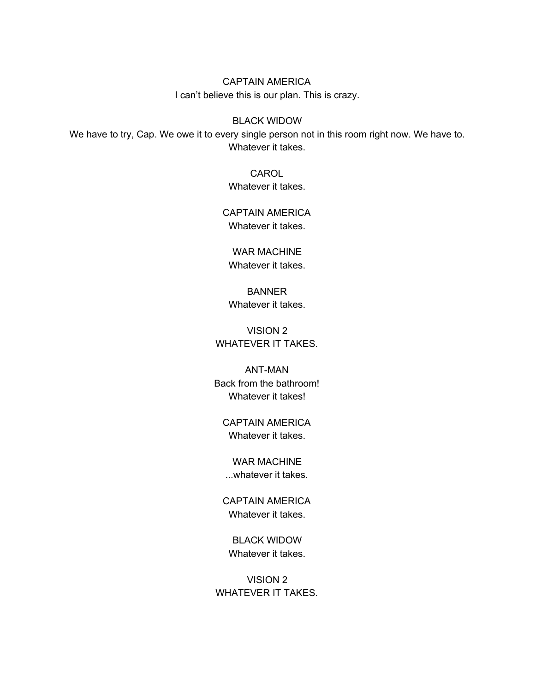### CAPTAIN AMERICA I can't believe this is our plan. This is crazy.

### BLACK WIDOW

We have to try, Cap. We owe it to every single person not in this room right now. We have to. Whatever it takes.

> **CAROL** Whatever it takes.

CAPTAIN AMERICA Whatever it takes.

WAR MACHINE Whatever it takes.

BANNER Whatever it takes.

VISION 2 WHATEVER IT TAKES.

ANT-MAN Back from the bathroom! Whatever it takes!

CAPTAIN AMERICA Whatever it takes.

WAR MACHINE ...whatever it takes.

CAPTAIN AMERICA Whatever it takes.

BLACK WIDOW Whatever it takes.

VISION 2 WHATEVER IT TAKES.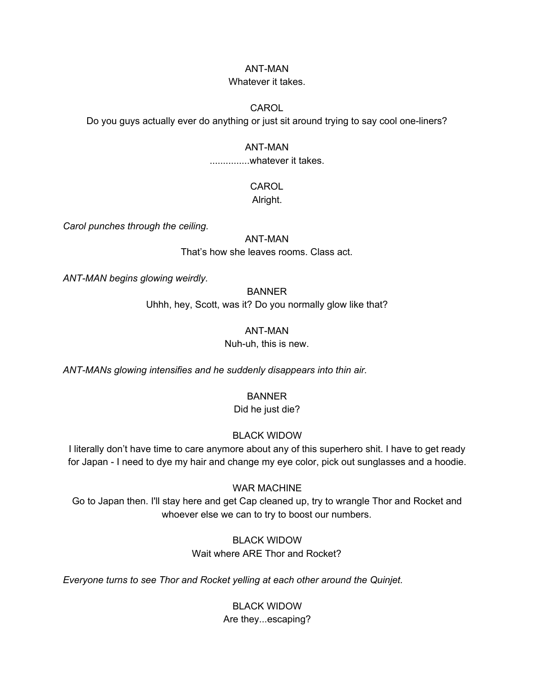### ANT-MAN

### Whatever it takes.

### **CAROL**

Do you guys actually ever do anything or just sit around trying to say cool one-liners?

### ANT-MAN

................whatever it takes.

### **CAROL**

### Alright.

*Carol punches through the ceiling.*

### ANT-MAN

That's how she leaves rooms. Class act.

*ANT-MAN begins glowing weirdly.*

BANNER

Uhhh, hey, Scott, was it? Do you normally glow like that?

### ANT-MAN

### Nuh-uh, this is new.

*ANT-MANs glowing intensifies and he suddenly disappears into thin air.*

### BANNER

### Did he just die?

### BLACK WIDOW

I literally don't have time to care anymore about any of this superhero shit. I have to get ready for Japan - I need to dye my hair and change my eye color, pick out sunglasses and a hoodie.

### WAR MACHINE

Go to Japan then. I'll stay here and get Cap cleaned up, try to wrangle Thor and Rocket and whoever else we can to try to boost our numbers.

## BLACK WIDOW

Wait where ARE Thor and Rocket?

*Everyone turns to see Thor and Rocket yelling at each other around the Quinjet.*

### BLACK WIDOW Are they...escaping?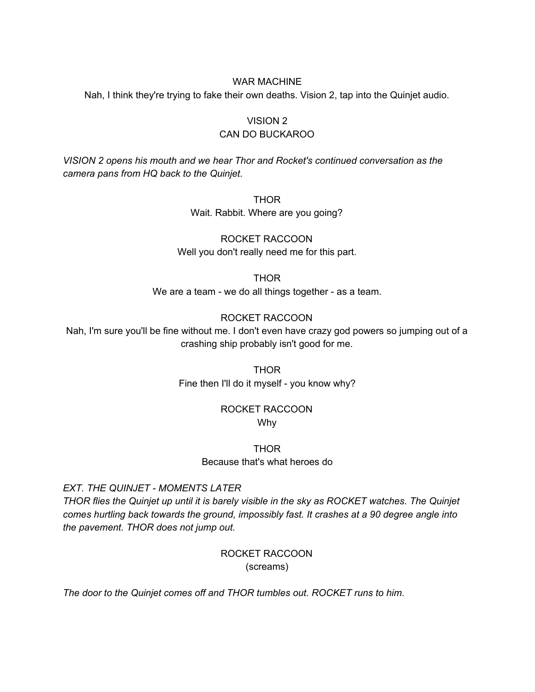### WAR MACHINE

Nah, I think they're trying to fake their own deaths. Vision 2, tap into the Quinjet audio.

### VISION 2

### CAN DO BUCKAROO

*VISION 2 opens his mouth and we hear Thor and Rocket's continued conversation as the camera pans from HQ back to the Quinjet.*

> **THOR** Wait. Rabbit. Where are you going?

ROCKET RACCOON Well you don't really need me for this part.

**THOR** 

We are a team - we do all things together - as a team.

### ROCKET RACCOON

Nah, I'm sure you'll be fine without me. I don't even have crazy god powers so jumping out of a crashing ship probably isn't good for me.

> **THOR** Fine then I'll do it myself - you know why?

### ROCKET RACCOON Why

### **THOR** Because that's what heroes do

*EXT. THE QUINJET - MOMENTS LATER*

*THOR flies the Quinjet up until it is barely visible in the sky as ROCKET watches. The Quinjet comes hurtling back towards the ground, impossibly fast. It crashes at a 90 degree angle into the pavement. THOR does not jump out.*

### ROCKET RACCOON (screams)

*The door to the Quinjet comes off and THOR tumbles out. ROCKET runs to him*.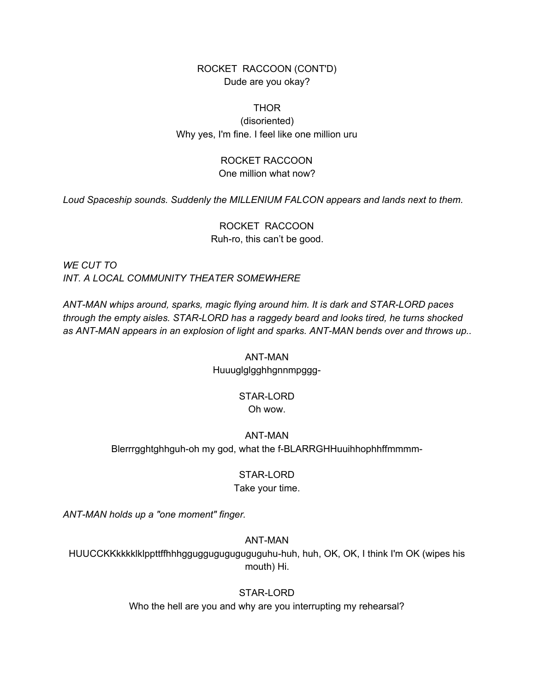### ROCKET RACCOON (CONT'D) Dude are you okay?

### **THOR**

(disoriented) Why yes, I'm fine. I feel like one million uru

### ROCKET RACCOON One million what now?

*Loud Spaceship sounds. Suddenly the MILLENIUM FALCON appears and lands next to them.*

ROCKET RACCOON Ruh-ro, this can't be good.

*WE CUT TO INT. A LOCAL COMMUNITY THEATER SOMEWHERE*

*ANT-MAN whips around, sparks, magic flying around him. It is dark and STAR-LORD paces through the empty aisles. STAR-LORD has a raggedy beard and looks tired, he turns shocked as ANT-MAN appears in an explosion of light and sparks. ANT-MAN bends over and throws up..*

### ANT-MAN Huuuglglgghhgnnmpggg-

### STAR-LORD Oh wow.

### ANT-MAN Blerrrgghtghhguh-oh my god, what the f-BLARRGHHuuihhophhffmmmm-

### STAR-LORD

### Take your time.

*ANT-MAN holds up a "one moment" finger.*

### ANT-MAN

HUUCCKKkkkklklppttffhhhggugguguguguguguhu-huh, huh, OK, OK, I think I'm OK (wipes his mouth) Hi.

### STAR-LORD

Who the hell are you and why are you interrupting my rehearsal?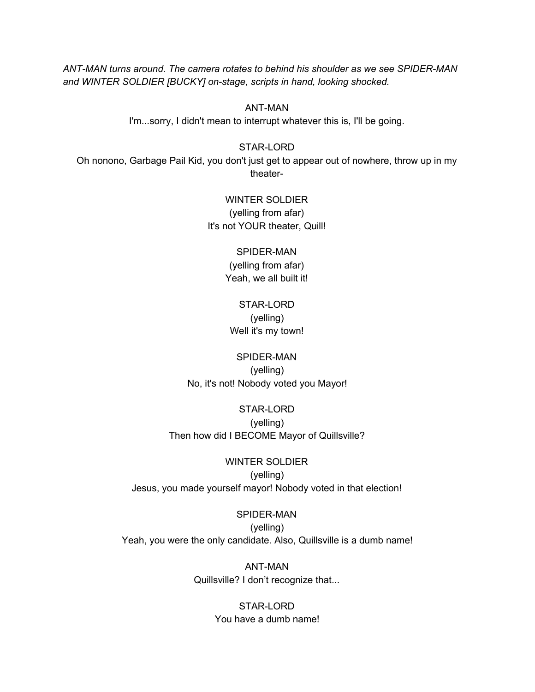*ANT-MAN turns around. The camera rotates to behind his shoulder as we see SPIDER-MAN and WINTER SOLDIER [BUCKY] on-stage, scripts in hand, looking shocked.*

> ANT-MAN I'm...sorry, I didn't mean to interrupt whatever this is, I'll be going.

STAR-LORD Oh nonono, Garbage Pail Kid, you don't just get to appear out of nowhere, throw up in my theater-

> WINTER SOLDIER (yelling from afar) It's not YOUR theater, Quill!

> > SPIDER-MAN (yelling from afar) Yeah, we all built it!

### STAR-LORD (yelling) Well it's my town!

SPIDER-MAN (yelling) No, it's not! Nobody voted you Mayor!

STAR-LORD (yelling) Then how did I BECOME Mayor of Quillsville?

WINTER SOLDIER (yelling) Jesus, you made yourself mayor! Nobody voted in that election!

SPIDER-MAN (yelling) Yeah, you were the only candidate. Also, Quillsville is a dumb name!

> ANT-MAN Quillsville? I don't recognize that...

> > STAR-LORD You have a dumb name!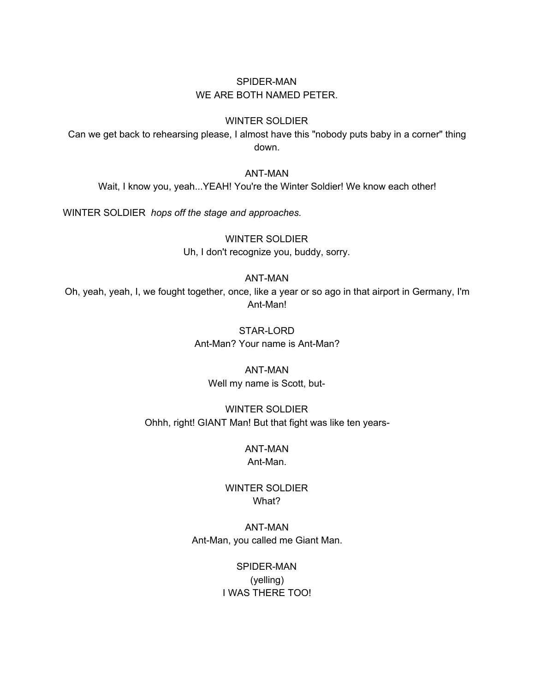### SPIDER-MAN WE ARE BOTH NAMED PETER.

### WINTER SOLDIER

Can we get back to rehearsing please, I almost have this "nobody puts baby in a corner" thing down.

### ANT-MAN

Wait, I know you, yeah...YEAH! You're the Winter Soldier! We know each other!

WINTER SOLDIER *hops off the stage and approaches.*

WINTER SOLDIER Uh, I don't recognize you, buddy, sorry.

### ANT-MAN

Oh, yeah, yeah, I, we fought together, once, like a year or so ago in that airport in Germany, I'm Ant-Man!

> STAR-LORD Ant-Man? Your name is Ant-Man?

### ANT-MAN Well my name is Scott, but-

WINTER SOLDIER Ohhh, right! GIANT Man! But that fight was like ten years-

### ANT-MAN Ant-Man.

### WINTER SOLDIER What?

### ANT-MAN Ant-Man, you called me Giant Man.

### SPIDER-MAN (yelling) I WAS THERE TOO!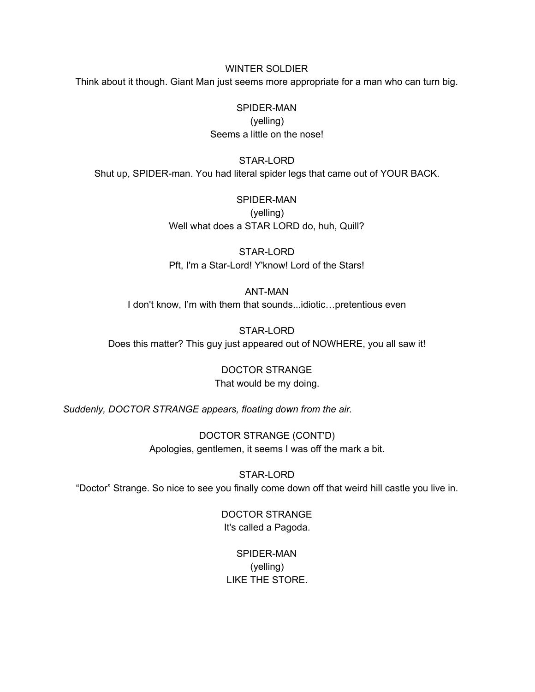### WINTER SOLDIER

Think about it though. Giant Man just seems more appropriate for a man who can turn big.

### SPIDER-MAN

### (yelling) Seems a little on the nose!

### STAR-LORD

Shut up, SPIDER-man. You had literal spider legs that came out of YOUR BACK.

SPIDER-MAN (yelling) Well what does a STAR LORD do, huh, Quill?

STAR-LORD Pft, I'm a Star-Lord! Y'know! Lord of the Stars!

ANT-MAN I don't know, I'm with them that sounds...idiotic…pretentious even

STAR-LORD Does this matter? This guy just appeared out of NOWHERE, you all saw it!

> DOCTOR STRANGE That would be my doing.

*Suddenly, DOCTOR STRANGE appears, floating down from the air.*

DOCTOR STRANGE (CONT'D) Apologies, gentlemen, it seems I was off the mark a bit.

STAR-LORD "Doctor" Strange. So nice to see you finally come down off that weird hill castle you live in.

> DOCTOR STRANGE It's called a Pagoda.

SPIDER-MAN (yelling) LIKE THE STORE.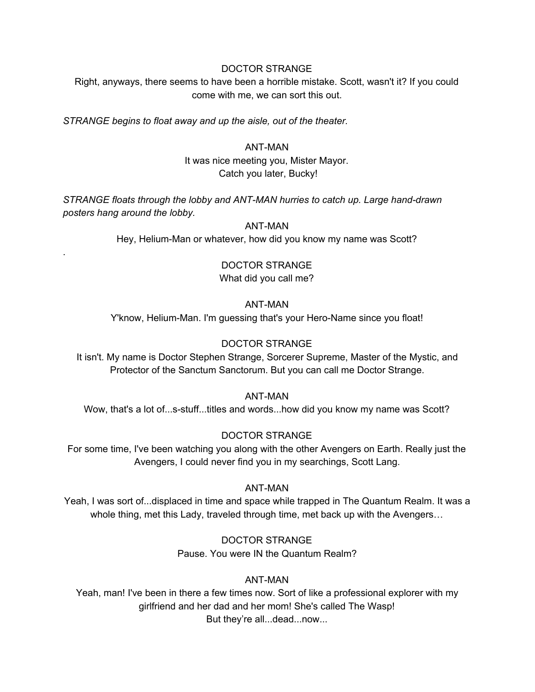### DOCTOR STRANGE

Right, anyways, there seems to have been a horrible mistake. Scott, wasn't it? If you could come with me, we can sort this out.

*STRANGE begins to float away and up the aisle, out of the theater.*

.

### ANT-MAN

It was nice meeting you, Mister Mayor. Catch you later, Bucky!

*STRANGE floats through the lobby and ANT-MAN hurries to catch up. Large hand-drawn posters hang around the lobby.*

> ANT-MAN Hey, Helium-Man or whatever, how did you know my name was Scott?

### DOCTOR STRANGE

What did you call me?

### ANT-MAN

Y'know, Helium-Man. I'm guessing that's your Hero-Name since you float!

### DOCTOR STRANGE

It isn't. My name is Doctor Stephen Strange, Sorcerer Supreme, Master of the Mystic, and Protector of the Sanctum Sanctorum. But you can call me Doctor Strange.

### ANT-MAN

Wow, that's a lot of...s-stuff...titles and words...how did you know my name was Scott?

### DOCTOR STRANGE

For some time, I've been watching you along with the other Avengers on Earth. Really just the Avengers, I could never find you in my searchings, Scott Lang.

### ANT-MAN

Yeah, I was sort of...displaced in time and space while trapped in The Quantum Realm. It was a whole thing, met this Lady, traveled through time, met back up with the Avengers…

### DOCTOR STRANGE

Pause. You were IN the Quantum Realm?

### ANT-MAN

Yeah, man! I've been in there a few times now. Sort of like a professional explorer with my girlfriend and her dad and her mom! She's called The Wasp! But they're all...dead...now...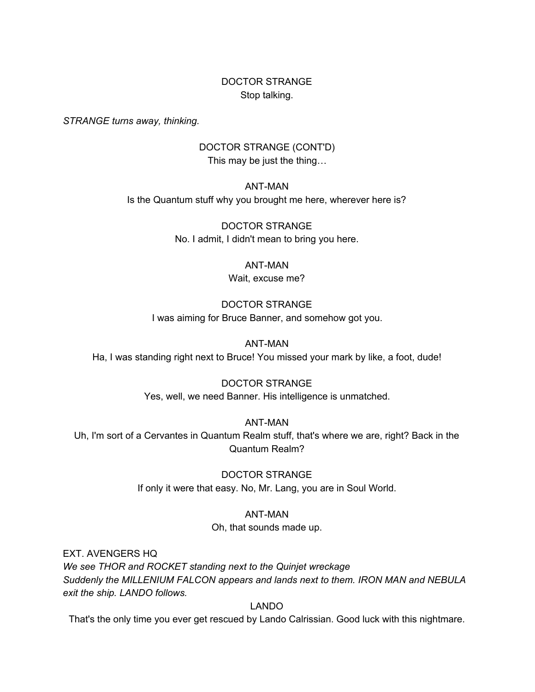### DOCTOR STRANGE Stop talking.

*STRANGE turns away, thinking.*

## DOCTOR STRANGE (CONT'D) This may be just the thing…

ANT-MAN Is the Quantum stuff why you brought me here, wherever here is?

> DOCTOR STRANGE No. I admit, I didn't mean to bring you here.

# ANT-MAN

# Wait, excuse me?

# DOCTOR STRANGE

I was aiming for Bruce Banner, and somehow got you.

### ANT-MAN

Ha, I was standing right next to Bruce! You missed your mark by like, a foot, dude!

### DOCTOR STRANGE

Yes, well, we need Banner. His intelligence is unmatched.

ANT-MAN

Uh, I'm sort of a Cervantes in Quantum Realm stuff, that's where we are, right? Back in the Quantum Realm?

> DOCTOR STRANGE If only it were that easy. No, Mr. Lang, you are in Soul World.

> > ANT-MAN Oh, that sounds made up.

EXT. AVENGERS HQ

*We see THOR and ROCKET standing next to the Quinjet wreckage Suddenly the MILLENIUM FALCON appears and lands next to them. IRON MAN and NEBULA exit the ship. LANDO follows.*

LANDO

That's the only time you ever get rescued by Lando Calrissian. Good luck with this nightmare.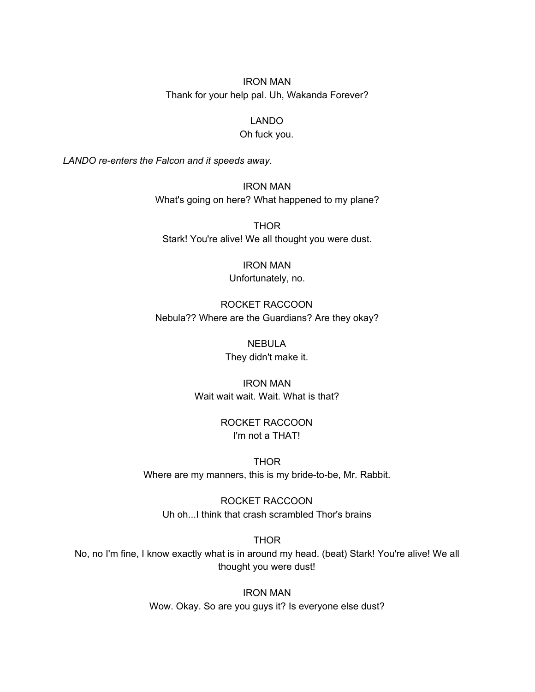# IRON MAN Thank for your help pal. Uh, Wakanda Forever?

LANDO

Oh fuck you.

*LANDO re-enters the Falcon and it speeds away.*

IRON MAN What's going on here? What happened to my plane?

**THOR** Stark! You're alive! We all thought you were dust.

> IRON MAN Unfortunately, no.

ROCKET RACCOON Nebula?? Where are the Guardians? Are they okay?

> **NEBULA** They didn't make it.

IRON MAN Wait wait wait. Wait. What is that?

> ROCKET RACCOON I'm not a THAT!

**THOR** Where are my manners, this is my bride-to-be, Mr. Rabbit.

ROCKET RACCOON Uh oh...I think that crash scrambled Thor's brains

**THOR** No, no I'm fine, I know exactly what is in around my head. (beat) Stark! You're alive! We all thought you were dust!

> IRON MAN Wow. Okay. So are you guys it? Is everyone else dust?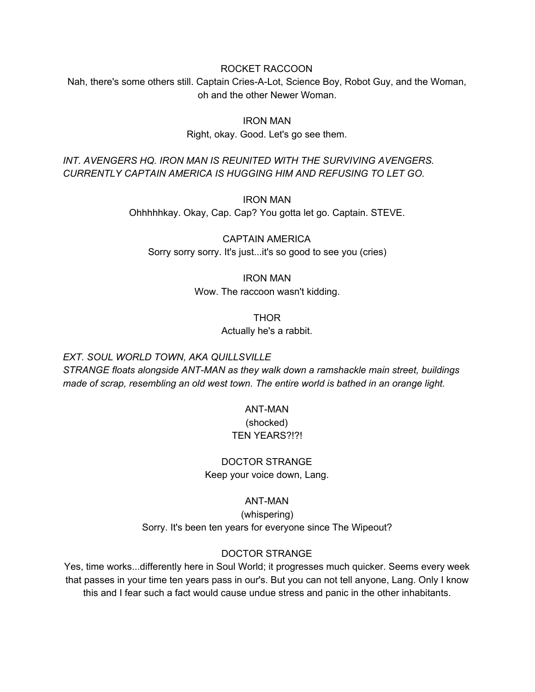#### ROCKET RACCOON

Nah, there's some others still. Captain Cries-A-Lot, Science Boy, Robot Guy, and the Woman, oh and the other Newer Woman.

### IRON MAN Right, okay. Good. Let's go see them.

*INT. AVENGERS HQ. IRON MAN IS REUNITED WITH THE SURVIVING AVENGERS. CURRENTLY CAPTAIN AMERICA IS HUGGING HIM AND REFUSING TO LET GO.*

> IRON MAN Ohhhhhkay. Okay, Cap. Cap? You gotta let go. Captain. STEVE.

CAPTAIN AMERICA Sorry sorry sorry. It's just...it's so good to see you (cries)

# IRON MAN Wow. The raccoon wasn't kidding.

**THOR** Actually he's a rabbit.

### *EXT. SOUL WORLD TOWN, AKA QUILLSVILLE*

*STRANGE floats alongside ANT-MAN as they walk down a ramshackle main street, buildings made of scrap, resembling an old west town. The entire world is bathed in an orange light.*

# ANT-MAN (shocked) TEN YEARS?!?!

DOCTOR STRANGE Keep your voice down, Lang.

### ANT-MAN

(whispering) Sorry. It's been ten years for everyone since The Wipeout?

### DOCTOR STRANGE

Yes, time works...differently here in Soul World; it progresses much quicker. Seems every week that passes in your time ten years pass in our's. But you can not tell anyone, Lang. Only I know this and I fear such a fact would cause undue stress and panic in the other inhabitants.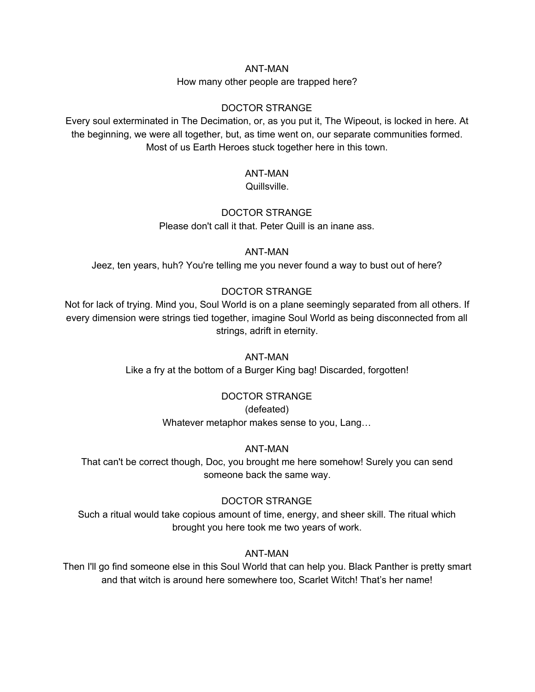#### ANT-MAN

How many other people are trapped here?

### DOCTOR STRANGE

Every soul exterminated in The Decimation, or, as you put it, The Wipeout, is locked in here. At the beginning, we were all together, but, as time went on, our separate communities formed. Most of us Earth Heroes stuck together here in this town.

### ANT-MAN

#### Quillsville.

### DOCTOR STRANGE

Please don't call it that. Peter Quill is an inane ass.

### ANT-MAN

Jeez, ten years, huh? You're telling me you never found a way to bust out of here?

### DOCTOR STRANGE

Not for lack of trying. Mind you, Soul World is on a plane seemingly separated from all others. If every dimension were strings tied together, imagine Soul World as being disconnected from all strings, adrift in eternity.

## ANT-MAN

Like a fry at the bottom of a Burger King bag! Discarded, forgotten!

### DOCTOR STRANGE

(defeated)

Whatever metaphor makes sense to you, Lang…

### ANT-MAN

That can't be correct though, Doc, you brought me here somehow! Surely you can send someone back the same way.

# DOCTOR STRANGE

Such a ritual would take copious amount of time, energy, and sheer skill. The ritual which brought you here took me two years of work.

### ANT-MAN

Then I'll go find someone else in this Soul World that can help you. Black Panther is pretty smart and that witch is around here somewhere too, Scarlet Witch! That's her name!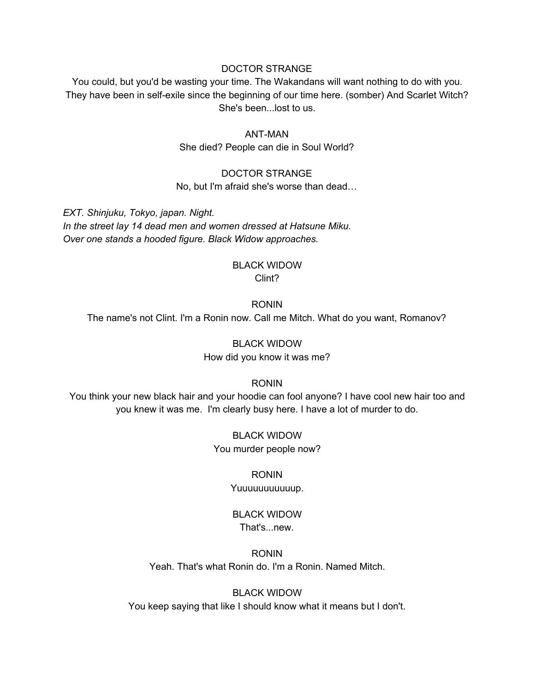### DOCTOR STRANGE

You could, but you'd be wasting your time. The Wakandans will want nothing to do with you. They have been in self-exile since the beginning of our time here. (somber) And Scarlet Witch? She's been...lost to us.

### ANT-MAN

She died? People can die in Soul World?

#### DOCTOR STRANGE

No, but I'm afraid she's worse than dead…

*EXT. Shinjuku, Tokyo, japan. Night. In the street lay 14 dead men and women dressed at Hatsune Miku. Over one stands a hooded figure. Black Widow approaches.*

#### BLACK WIDOW Clint?

RONIN The name's not Clint. I'm a Ronin now. Call me Mitch. What do you want, Romanov?

> BLACK WIDOW How did you know it was me?

#### RONIN

You think your new black hair and your hoodie can fool anyone? I have cool new hair too and you knew it was me. I'm clearly busy here. I have a lot of murder to do.

> BLACK WIDOW You murder people now?

#### RONIN

Yuuuuuuuuuuup.

#### BLACK WIDOW That's...new.

RONIN Yeah. That's what Ronin do. I'm a Ronin. Named Mitch.

#### BLACK WIDOW

You keep saying that like I should know what it means but I don't.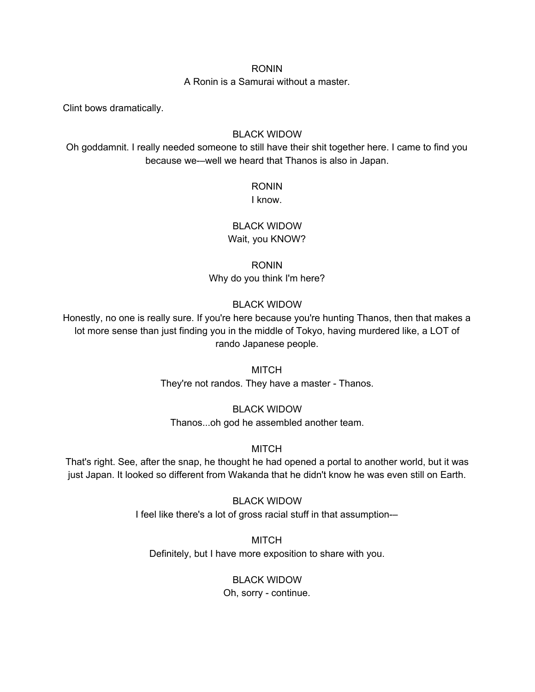#### RONIN

A Ronin is a Samurai without a master.

Clint bows dramatically.

#### BLACK WIDOW

Oh goddamnit. I really needed someone to still have their shit together here. I came to find you because we-–well we heard that Thanos is also in Japan.

#### RONIN

#### I know.

# BLACK WIDOW Wait, you KNOW?

RONIN Why do you think I'm here?

### BLACK WIDOW

Honestly, no one is really sure. If you're here because you're hunting Thanos, then that makes a lot more sense than just finding you in the middle of Tokyo, having murdered like, a LOT of rando Japanese people.

#### **MITCH**

They're not randos. They have a master - Thanos.

#### BLACK WIDOW

Thanos...oh god he assembled another team.

### **MITCH**

That's right. See, after the snap, he thought he had opened a portal to another world, but it was just Japan. It looked so different from Wakanda that he didn't know he was even still on Earth.

> BLACK WIDOW I feel like there's a lot of gross racial stuff in that assumption-–

**MITCH** Definitely, but I have more exposition to share with you.

### BLACK WIDOW Oh, sorry - continue.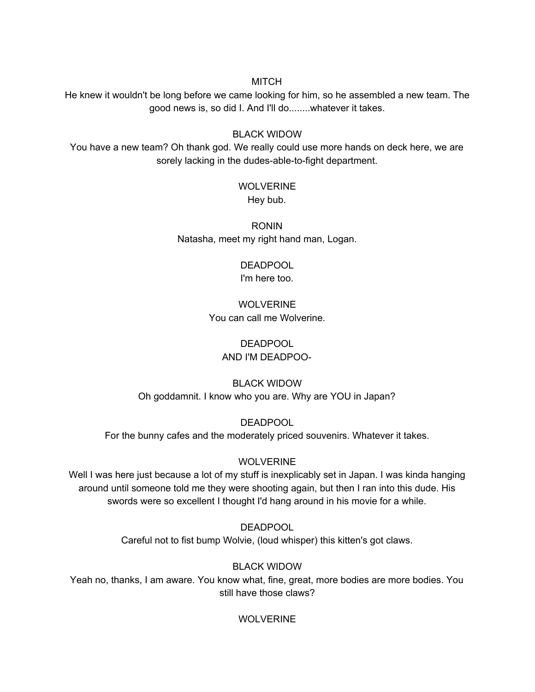**MITCH** He knew it wouldn't be long before we came looking for him, so he assembled a new team. The good news is, so did I. And I'll do........whatever it takes.

#### BLACK WIDOW

You have a new team? Oh thank god. We really could use more hands on deck here, we are sorely lacking in the dudes-able-to-fight department.

#### WOLVERINE Hey bub.

RONIN Natasha, meet my right hand man, Logan.

# DEADPOOL

I'm here too.

# WOLVERINE You can call me Wolverine.

# DEADPOOL AND I'M DEADPOO-

### BLACK WIDOW

Oh goddamnit. I know who you are. Why are YOU in Japan?

**DEADPOOL** For the bunny cafes and the moderately priced souvenirs. Whatever it takes.

### WOLVERINE

Well I was here just because a lot of my stuff is inexplicably set in Japan. I was kinda hanging around until someone told me they were shooting again, but then I ran into this dude. His swords were so excellent I thought I'd hang around in his movie for a while.

> **DEADPOOL** Careful not to fist bump Wolvie, (loud whisper) this kitten's got claws.

> > BLACK WIDOW

Yeah no, thanks, I am aware. You know what, fine, great, more bodies are more bodies. You still have those claws?

### WOLVERINE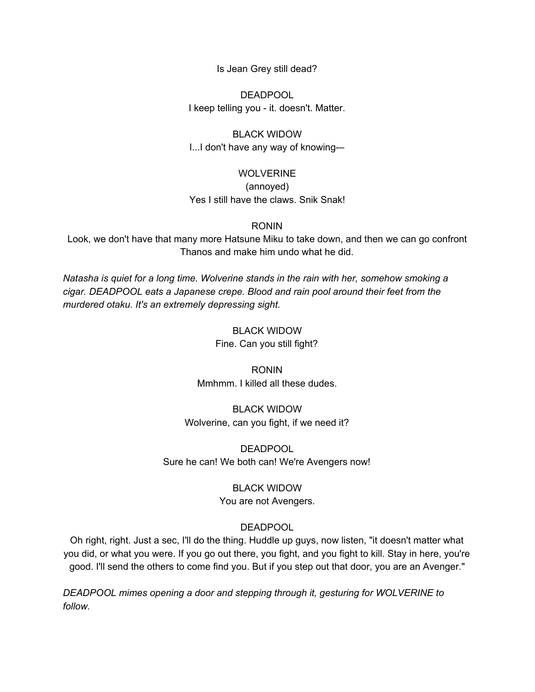Is Jean Grey still dead?

DEADPOOL I keep telling you - it. doesn't. Matter.

BLACK WIDOW I...I don't have any way of knowing-–

# WOLVERINE

(annoyed) Yes I still have the claws. Snik Snak!

RONIN

Look, we don't have that many more Hatsune Miku to take down, and then we can go confront Thanos and make him undo what he did.

*Natasha is quiet for a long time. Wolverine stands in the rain with her, somehow smoking a cigar. DEADPOOL eats a Japanese crepe. Blood and rain pool around their feet from the murdered otaku. It's an extremely depressing sight.*

> BLACK WIDOW Fine. Can you still fight?

RONIN Mmhmm. I killed all these dudes.

BLACK WIDOW Wolverine, can you fight, if we need it?

**DEADPOOL** Sure he can! We both can! We're Avengers now!

### BLACK WIDOW You are not Avengers.

# **DEADPOOL**

Oh right, right. Just a sec, I'll do the thing. Huddle up guys, now listen, "it doesn't matter what you did, or what you were. If you go out there, you fight, and you fight to kill. Stay in here, you're good. I'll send the others to come find you. But if you step out that door, you are an Avenger."

*DEADPOOL mimes opening a door and stepping through it, gesturing for WOLVERINE to follow.*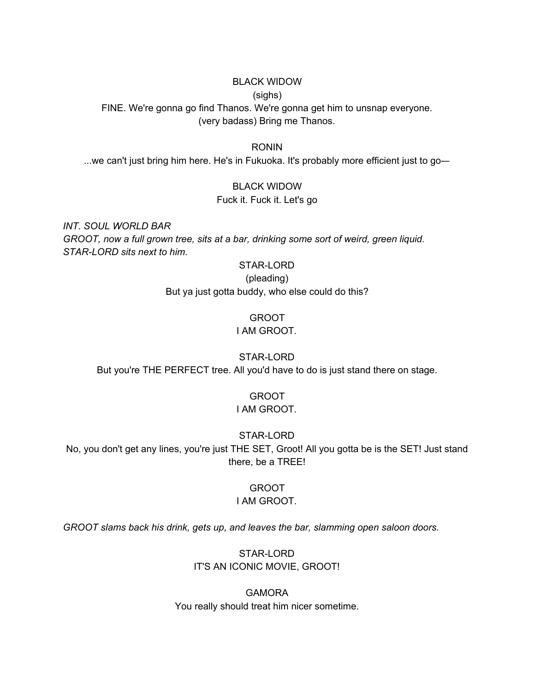### BLACK WIDOW

(sighs)

FINE. We're gonna go find Thanos. We're gonna get him to unsnap everyone. (very badass) Bring me Thanos.

### RONIN

...we can't just bring him here. He's in Fukuoka. It's probably more efficient just to go-–

### BLACK WIDOW

#### Fuck it. Fuck it. Let's go

*INT. SOUL WORLD BAR GROOT, now a full grown tree, sits at a bar, drinking some sort of weird, green liquid. STAR-LORD sits next to him.*

### STAR-LORD

(pleading) But ya just gotta buddy, who else could do this?

# **GROOT**

### I AM GROOT.

STAR-LORD But you're THE PERFECT tree. All you'd have to do is just stand there on stage.

# **GROOT** I AM GROOT.

# STAR-LORD

No, you don't get any lines, you're just THE SET, Groot! All you gotta be is the SET! Just stand there, be a TREE!

# GROOT

### I AM GROOT.

*GROOT slams back his drink, gets up, and leaves the bar, slamming open saloon doors.*

# STAR-LORD IT'S AN ICONIC MOVIE, GROOT!

**GAMORA** You really should treat him nicer sometime.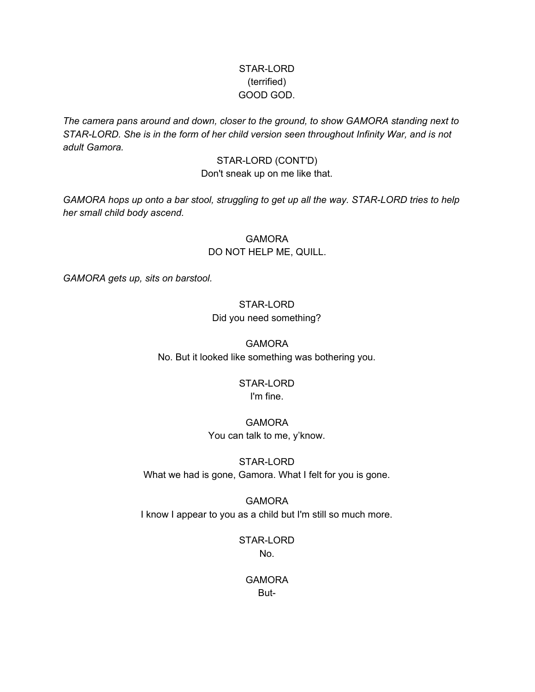# STAR-LORD (terrified) GOOD GOD.

*The camera pans around and down, closer to the ground, to show GAMORA standing next to STAR-LORD. She is in the form of her child version seen throughout Infinity War, and is not adult Gamora.*

### STAR-LORD (CONT'D) Don't sneak up on me like that.

*GAMORA hops up onto a bar stool, struggling to get up all the way. STAR-LORD tries to help her small child body ascend.*

> **GAMORA** DO NOT HELP ME, QUILL.

*GAMORA gets up, sits on barstool.*

# STAR-LORD Did you need something?

**GAMORA** No. But it looked like something was bothering you.

#### STAR-LORD I'm fine.

# **GAMORA** You can talk to me, y'know.

STAR-LORD What we had is gone, Gamora. What I felt for you is gone.

**GAMORA** I know I appear to you as a child but I'm still so much more.

> STAR-LORD No.

> > **GAMORA** But-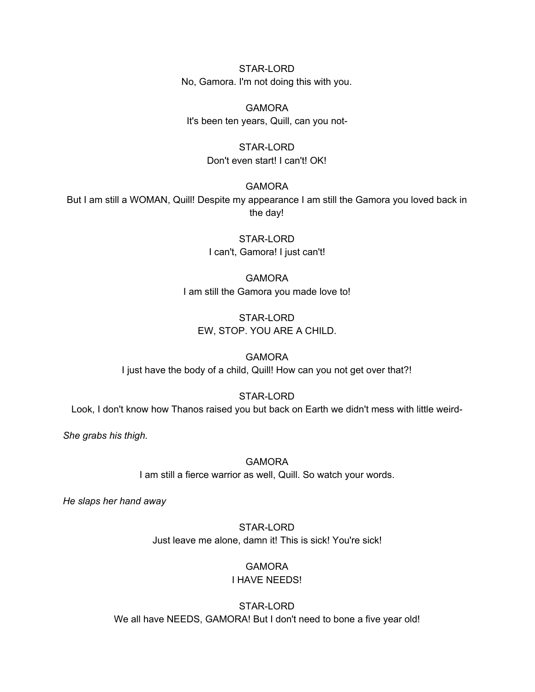STAR-LORD No, Gamora. I'm not doing this with you.

**GAMORA** It's been ten years, Quill, can you not-

### STAR-LORD Don't even start! I can't! OK!

#### **GAMORA**

But I am still a WOMAN, Quill! Despite my appearance I am still the Gamora you loved back in the day!

> STAR-LORD I can't, Gamora! I just can't!

**GAMORA** I am still the Gamora you made love to!

STAR-LORD EW, STOP. YOU ARE A CHILD.

**GAMORA** I just have the body of a child, Quill! How can you not get over that?!

### STAR-LORD

Look, I don't know how Thanos raised you but back on Earth we didn't mess with little weird-

*She grabs his thigh.*

**GAMORA** 

I am still a fierce warrior as well, Quill. So watch your words.

*He slaps her hand away*

STAR-LORD Just leave me alone, damn it! This is sick! You're sick!

#### GAMORA I HAVE NEEDS!

STAR-LORD We all have NEEDS, GAMORA! But I don't need to bone a five year old!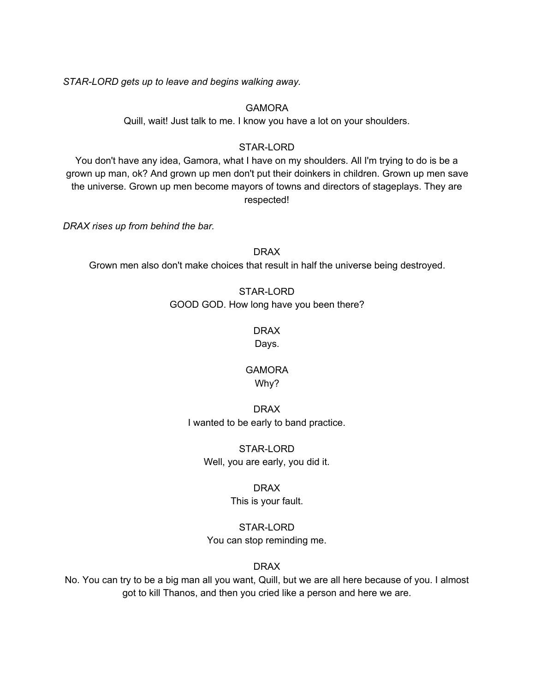*STAR-LORD gets up to leave and begins walking away.*

#### **GAMORA**

Quill, wait! Just talk to me. I know you have a lot on your shoulders.

#### STAR-LORD

You don't have any idea, Gamora, what I have on my shoulders. All I'm trying to do is be a grown up man, ok? And grown up men don't put their doinkers in children. Grown up men save the universe. Grown up men become mayors of towns and directors of stageplays. They are respected!

*DRAX rises up from behind the bar.*

DRAX Grown men also don't make choices that result in half the universe being destroyed.

> STAR-LORD GOOD GOD. How long have you been there?

### DRAX

Days.

## **GAMORA** Why?

DRAX I wanted to be early to band practice.

> STAR-LORD Well, you are early, you did it.

> > DRAX This is your fault.

STAR-LORD You can stop reminding me.

DRAX

No. You can try to be a big man all you want, Quill, but we are all here because of you. I almost got to kill Thanos, and then you cried like a person and here we are.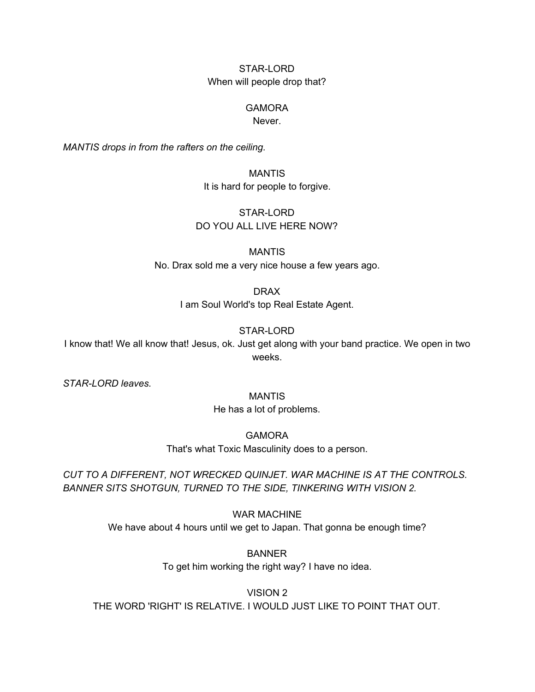# STAR-LORD When will people drop that?

#### **GAMORA**

#### Never.

*MANTIS drops in from the rafters on the ceiling.*

**MANTIS** It is hard for people to forgive.

# STAR-LORD DO YOU ALL LIVE HERE NOW?

#### **MANTIS**

No. Drax sold me a very nice house a few years ago.

DRAX

I am Soul World's top Real Estate Agent.

### STAR-LORD

I know that! We all know that! Jesus, ok. Just get along with your band practice. We open in two weeks.

*STAR-LORD leaves.*

**MANTIS** 

He has a lot of problems.

**GAMORA** 

That's what Toxic Masculinity does to a person.

*CUT TO A DIFFERENT, NOT WRECKED QUINJET. WAR MACHINE IS AT THE CONTROLS. BANNER SITS SHOTGUN, TURNED TO THE SIDE, TINKERING WITH VISION 2.*

> WAR MACHINE We have about 4 hours until we get to Japan. That gonna be enough time?

> > BANNER To get him working the right way? I have no idea.

VISION 2 THE WORD 'RIGHT' IS RELATIVE. I WOULD JUST LIKE TO POINT THAT OUT.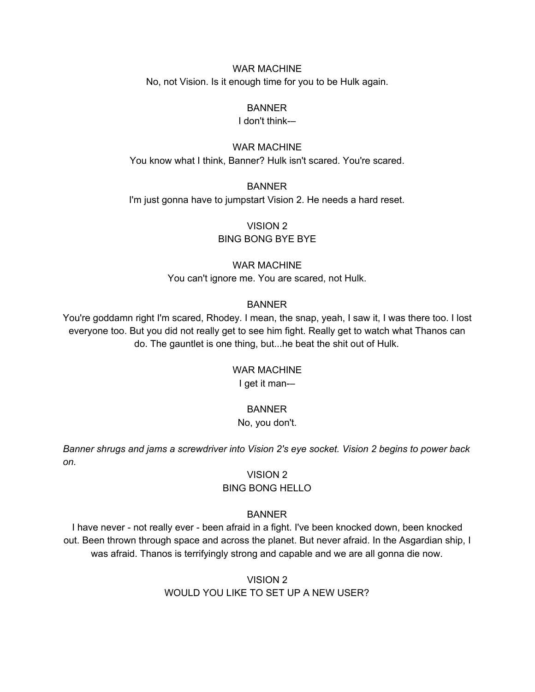# WAR MACHINE No, not Vision. Is it enough time for you to be Hulk again.

#### BANNER

### I don't think-–

# WAR MACHINE

You know what I think, Banner? Hulk isn't scared. You're scared.

BANNER I'm just gonna have to jumpstart Vision 2. He needs a hard reset.

> VISION 2 BING BONG BYE BYE

### WAR MACHINE

You can't ignore me. You are scared, not Hulk.

# **BANNER**

You're goddamn right I'm scared, Rhodey. I mean, the snap, yeah, I saw it, I was there too. I lost everyone too. But you did not really get to see him fight. Really get to watch what Thanos can do. The gauntlet is one thing, but...he beat the shit out of Hulk.

### WAR MACHINE

I get it man-–

# BANNER

# No, you don't.

*Banner shrugs and jams a screwdriver into Vision 2's eye socket. Vision 2 begins to power back on.*

# VISION 2 BING BONG HELLO

# BANNER

I have never - not really ever - been afraid in a fight. I've been knocked down, been knocked out. Been thrown through space and across the planet. But never afraid. In the Asgardian ship, I was afraid. Thanos is terrifyingly strong and capable and we are all gonna die now.

> VISION 2 WOULD YOU LIKE TO SET UP A NEW USER?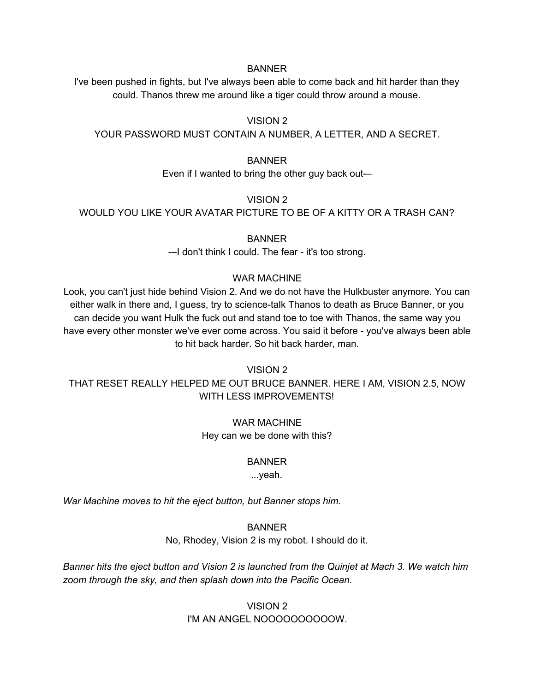#### BANNER

I've been pushed in fights, but I've always been able to come back and hit harder than they could. Thanos threw me around like a tiger could throw around a mouse.

#### VISION 2

#### YOUR PASSWORD MUST CONTAIN A NUMBER, A LETTER, AND A SECRET.

### **BANNER**

Even if I wanted to bring the other guy back out-–

#### VISION 2

WOULD YOU LIKE YOUR AVATAR PICTURE TO BE OF A KITTY OR A TRASH CAN?

#### BANNER

-- I don't think I could. The fear - it's too strong.

### WAR MACHINE

Look, you can't just hide behind Vision 2. And we do not have the Hulkbuster anymore. You can either walk in there and, I guess, try to science-talk Thanos to death as Bruce Banner, or you can decide you want Hulk the fuck out and stand toe to toe with Thanos, the same way you have every other monster we've ever come across. You said it before - you've always been able to hit back harder. So hit back harder, man.

#### VISION 2

THAT RESET REALLY HELPED ME OUT BRUCE BANNER. HERE I AM, VISION 2.5, NOW WITH LESS IMPROVEMENTS!

#### WAR MACHINE Hey can we be done with this?

### BANNER

...yeah.

*War Machine moves to hit the eject button, but Banner stops him.*

### BANNER No, Rhodey, Vision 2 is my robot. I should do it.

Banner hits the eject button and Vision 2 is launched from the Quinjet at Mach 3. We watch him *zoom through the sky, and then splash down into the Pacific Ocean.*

> VISION 2 I'M AN ANGEL NOOOOOOOOOOW.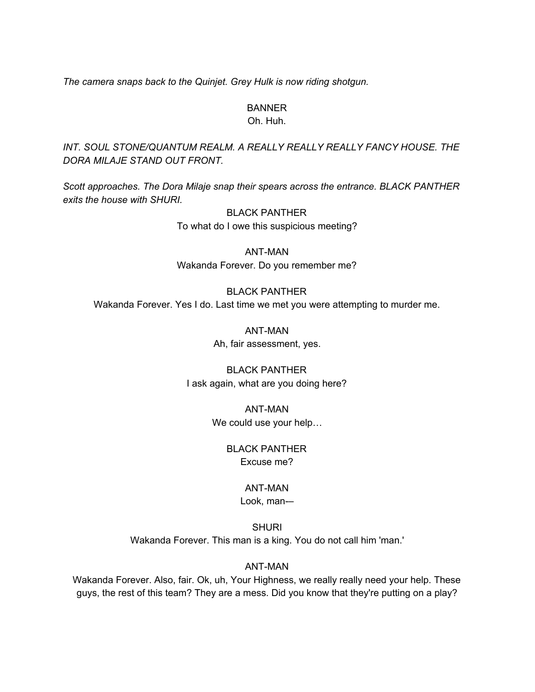*The camera snaps back to the Quinjet. Grey Hulk is now riding shotgun.*

#### BANNER

#### Oh. Huh.

# *INT. SOUL STONE/QUANTUM REALM. A REALLY REALLY REALLY FANCY HOUSE. THE DORA MILAJE STAND OUT FRONT.*

*Scott approaches. The Dora Milaje snap their spears across the entrance. BLACK PANTHER exits the house with SHURI.*

# BLACK PANTHER To what do I owe this suspicious meeting?

ANT-MAN Wakanda Forever. Do you remember me?

### BLACK PANTHER

Wakanda Forever. Yes I do. Last time we met you were attempting to murder me.

## ANT-MAN Ah, fair assessment, yes.

BLACK PANTHER I ask again, what are you doing here?

### ANT-MAN We could use your help…

### BLACK PANTHER Excuse me?

# ANT-MAN

#### Look, man-–

**SHURI** Wakanda Forever. This man is a king. You do not call him 'man.'

### ANT-MAN

Wakanda Forever. Also, fair. Ok, uh, Your Highness, we really really need your help. These guys, the rest of this team? They are a mess. Did you know that they're putting on a play?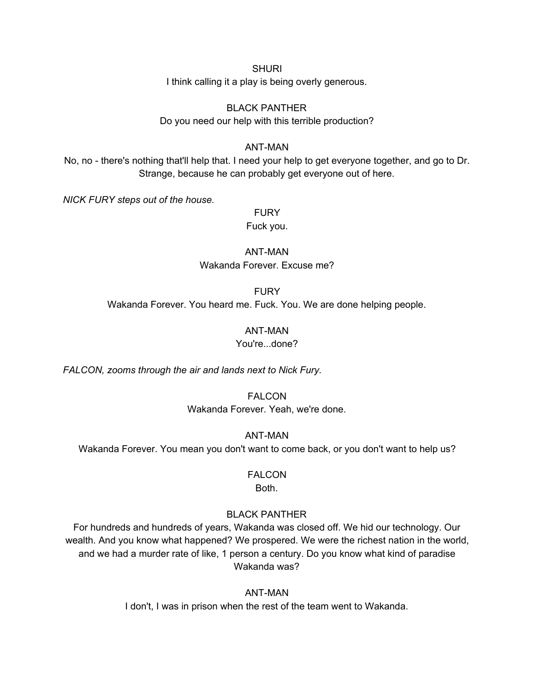**SHURI** 

I think calling it a play is being overly generous.

BLACK PANTHER Do you need our help with this terrible production?

### ANT-MAN

No, no - there's nothing that'll help that. I need your help to get everyone together, and go to Dr. Strange, because he can probably get everyone out of here.

*NICK FURY steps out of the house.*

FURY

Fuck you.

# ANT-MAN Wakanda Forever. Excuse me?

**FURY** Wakanda Forever. You heard me. Fuck. You. We are done helping people.

ANT-MAN

You're...done?

*FALCON, zooms through the air and lands next to Nick Fury.*

**FALCON** Wakanda Forever. Yeah, we're done.

ANT-MAN Wakanda Forever. You mean you don't want to come back, or you don't want to help us?

# **FALCON**

Both.

# BLACK PANTHER

For hundreds and hundreds of years, Wakanda was closed off. We hid our technology. Our wealth. And you know what happened? We prospered. We were the richest nation in the world, and we had a murder rate of like, 1 person a century. Do you know what kind of paradise Wakanda was?

# ANT-MAN

I don't, I was in prison when the rest of the team went to Wakanda.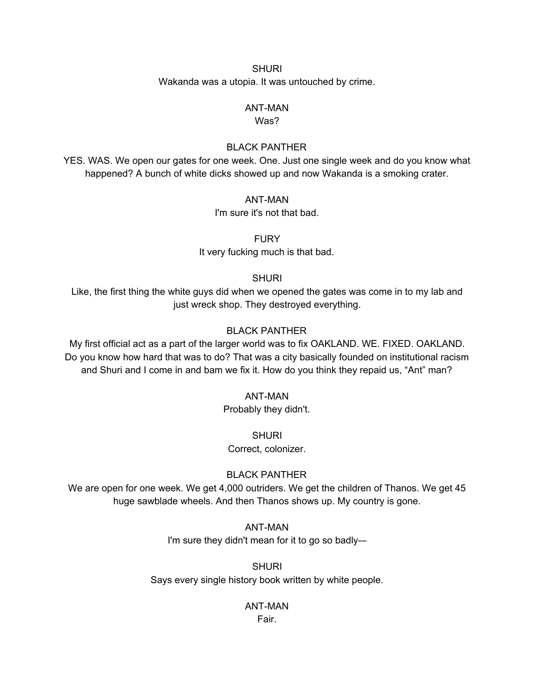#### **SHURI**

Wakanda was a utopia. It was untouched by crime.

#### ANT-MAN

#### Was?

#### BLACK PANTHER

YES. WAS. We open our gates for one week. One. Just one single week and do you know what happened? A bunch of white dicks showed up and now Wakanda is a smoking crater.

#### ANT-MAN

I'm sure it's not that bad.

FURY

It very fucking much is that bad.

#### **SHURI**

Like, the first thing the white guys did when we opened the gates was come in to my lab and just wreck shop. They destroyed everything.

### BLACK PANTHER

My first official act as a part of the larger world was to fix OAKLAND. WE. FIXED. OAKLAND. Do you know how hard that was to do? That was a city basically founded on institutional racism and Shuri and I come in and bam we fix it. How do you think they repaid us, "Ant" man?

### ANT-MAN

### Probably they didn't.

**SHURI** 

# Correct, colonizer.

### BLACK PANTHER

We are open for one week. We get 4,000 outriders. We get the children of Thanos. We get 45 huge sawblade wheels. And then Thanos shows up. My country is gone.

### ANT-MAN

I'm sure they didn't mean for it to go so badly-–

### SHURI

Says every single history book written by white people.

## ANT-MAN Fair.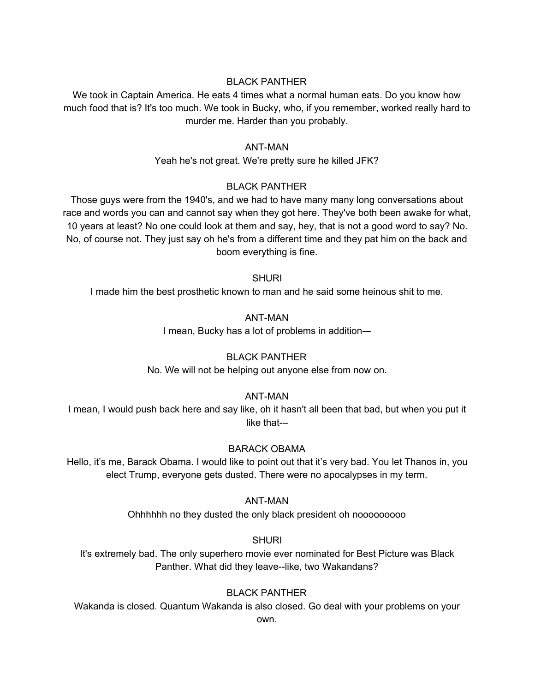### BLACK PANTHER

We took in Captain America. He eats 4 times what a normal human eats. Do you know how much food that is? It's too much. We took in Bucky, who, if you remember, worked really hard to murder me. Harder than you probably.

#### ANT-MAN

Yeah he's not great. We're pretty sure he killed JFK?

### BLACK PANTHER

Those guys were from the 1940's, and we had to have many many long conversations about race and words you can and cannot say when they got here. They've both been awake for what, 10 years at least? No one could look at them and say, hey, that is not a good word to say? No. No, of course not. They just say oh he's from a different time and they pat him on the back and boom everything is fine.

#### **SHURI**

I made him the best prosthetic known to man and he said some heinous shit to me.

ANT-MAN I mean, Bucky has a lot of problems in addition-–

### BLACK PANTHER

No. We will not be helping out anyone else from now on.

#### ANT-MAN

I mean, I would push back here and say like, oh it hasn't all been that bad, but when you put it like that-

### BARACK OBAMA

Hello, it's me, Barack Obama. I would like to point out that it's very bad. You let Thanos in, you elect Trump, everyone gets dusted. There were no apocalypses in my term.

#### ANT-MAN

Ohhhhhh no they dusted the only black president oh nooooooooo

#### **SHURI**

It's extremely bad. The only superhero movie ever nominated for Best Picture was Black Panther. What did they leave--like, two Wakandans?

#### BLACK PANTHER

Wakanda is closed. Quantum Wakanda is also closed. Go deal with your problems on your own.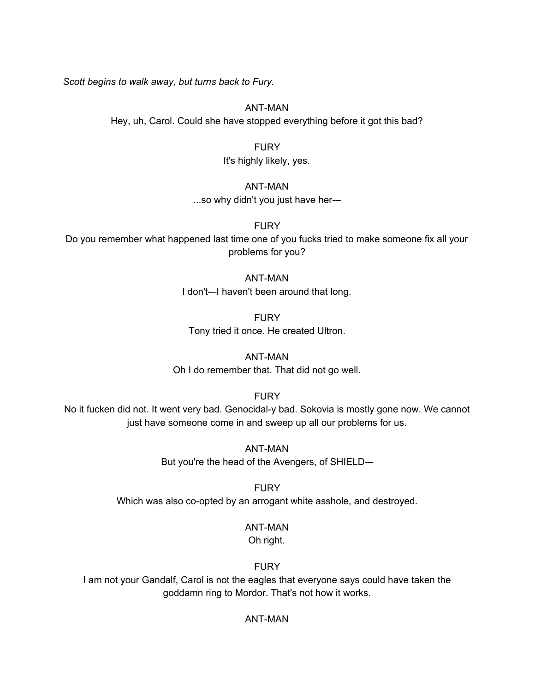*Scott begins to walk away, but turns back to Fury.*

ANT-MAN

Hey, uh, Carol. Could she have stopped everything before it got this bad?

**FURY** 

It's highly likely, yes.

### ANT-MAN

...so why didn't you just have her-–

**FURY** 

Do you remember what happened last time one of you fucks tried to make someone fix all your problems for you?

#### ANT-MAN

I don't-–I haven't been around that long.

**FURY** Tony tried it once. He created Ultron.

ANT-MAN

Oh I do remember that. That did not go well.

# FURY

No it fucken did not. It went very bad. Genocidal-y bad. Sokovia is mostly gone now. We cannot just have someone come in and sweep up all our problems for us.

> ANT-MAN But you're the head of the Avengers, of SHIELD-–

> > FURY

Which was also co-opted by an arrogant white asshole, and destroyed.

# ANT-MAN

Oh right.

# FURY

I am not your Gandalf, Carol is not the eagles that everyone says could have taken the goddamn ring to Mordor. That's not how it works.

# ANT-MAN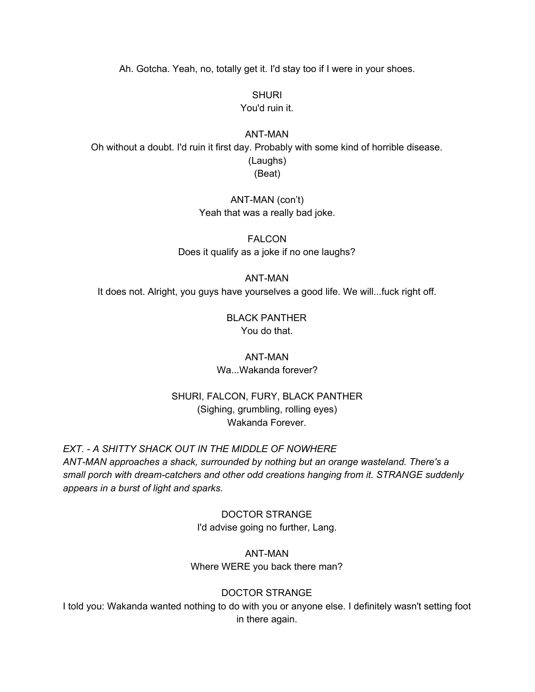Ah. Gotcha. Yeah, no, totally get it. I'd stay too if I were in your shoes.

**SHURI** You'd ruin it.

ANT-MAN Oh without a doubt. I'd ruin it first day. Probably with some kind of horrible disease. (Laughs) (Beat)

## ANT-MAN (con't) Yeah that was a really bad joke.

**FALCON** Does it qualify as a joke if no one laughs?

#### ANT-MAN

It does not. Alright, you guys have yourselves a good life. We will...fuck right off.

BLACK PANTHER You do that.

# ANT-MAN

Wa...Wakanda forever?

# SHURI, FALCON, FURY, BLACK PANTHER (Sighing, grumbling, rolling eyes) Wakanda Forever.

*EXT. - A SHITTY SHACK OUT IN THE MIDDLE OF NOWHERE*

*ANT-MAN approaches a shack, surrounded by nothing but an orange wasteland. There's a small porch with dream-catchers and other odd creations hanging from it. STRANGE suddenly appears in a burst of light and sparks.*

> DOCTOR STRANGE I'd advise going no further, Lang.

# ANT-MAN Where WERE you back there man?

#### DOCTOR STRANGE

I told you: Wakanda wanted nothing to do with you or anyone else. I definitely wasn't setting foot in there again.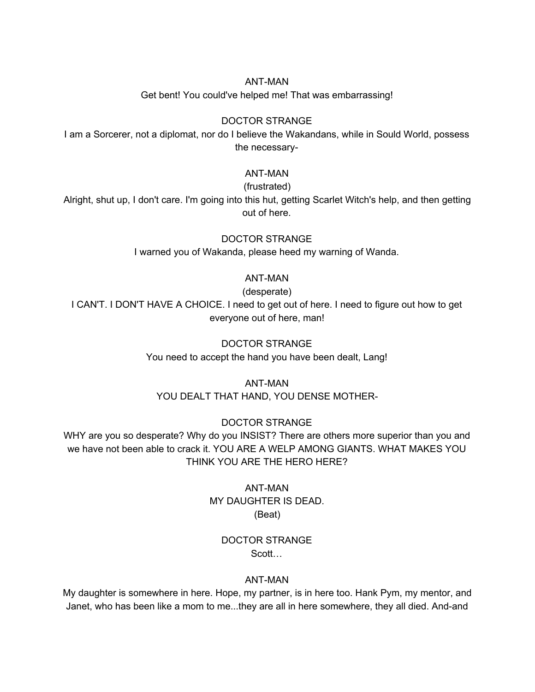### ANT-MAN

Get bent! You could've helped me! That was embarrassing!

#### DOCTOR STRANGE

I am a Sorcerer, not a diplomat, nor do I believe the Wakandans, while in Sould World, possess the necessary-

### ANT-MAN

#### (frustrated)

Alright, shut up, I don't care. I'm going into this hut, getting Scarlet Witch's help, and then getting out of here.

#### DOCTOR STRANGE

I warned you of Wakanda, please heed my warning of Wanda.

### ANT-MAN

(desperate)

I CAN'T. I DON'T HAVE A CHOICE. I need to get out of here. I need to figure out how to get everyone out of here, man!

> DOCTOR STRANGE You need to accept the hand you have been dealt, Lang!

ANT-MAN YOU DEALT THAT HAND, YOU DENSE MOTHER-

### DOCTOR STRANGE

WHY are you so desperate? Why do you INSIST? There are others more superior than you and we have not been able to crack it. YOU ARE A WELP AMONG GIANTS. WHAT MAKES YOU THINK YOU ARE THE HERO HERE?

> ANT-MAN MY DAUGHTER IS DEAD. (Beat)

DOCTOR STRANGE Scott…

#### ANT-MAN

My daughter is somewhere in here. Hope, my partner, is in here too. Hank Pym, my mentor, and Janet, who has been like a mom to me...they are all in here somewhere, they all died. And-and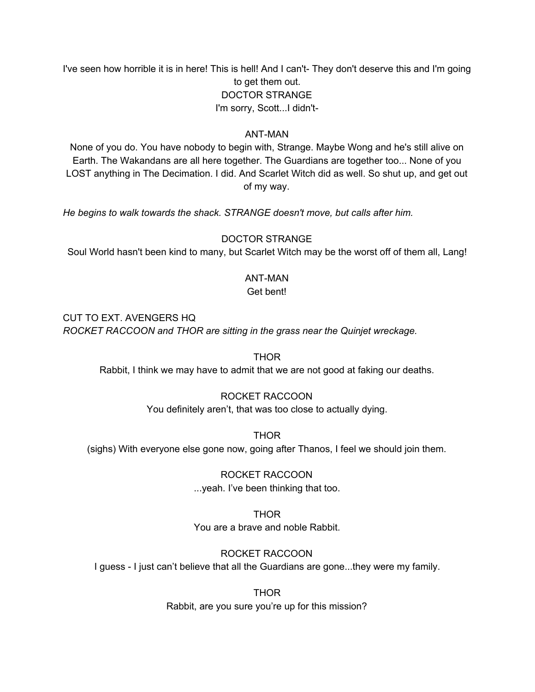I've seen how horrible it is in here! This is hell! And I can't- They don't deserve this and I'm going to get them out. DOCTOR STRANGE I'm sorry, Scott...I didn't-

#### ANT-MAN

None of you do. You have nobody to begin with, Strange. Maybe Wong and he's still alive on Earth. The Wakandans are all here together. The Guardians are together too... None of you LOST anything in The Decimation. I did. And Scarlet Witch did as well. So shut up, and get out of my way.

*He begins to walk towards the shack. STRANGE doesn't move, but calls after him.*

#### DOCTOR STRANGE

Soul World hasn't been kind to many, but Scarlet Witch may be the worst off of them all, Lang!

#### ANT-MAN Get bent!

CUT TO EXT. AVENGERS HQ *ROCKET RACCOON and THOR are sitting in the grass near the Quinjet wreckage.*

**THOR** Rabbit, I think we may have to admit that we are not good at faking our deaths.

# ROCKET RACCOON

You definitely aren't, that was too close to actually dying.

THOR (sighs) With everyone else gone now, going after Thanos, I feel we should join them.

> ROCKET RACCOON ...yeah. I've been thinking that too.

> **THOR** You are a brave and noble Rabbit.

ROCKET RACCOON I guess - I just can't believe that all the Guardians are gone...they were my family.

> **THOR** Rabbit, are you sure you're up for this mission?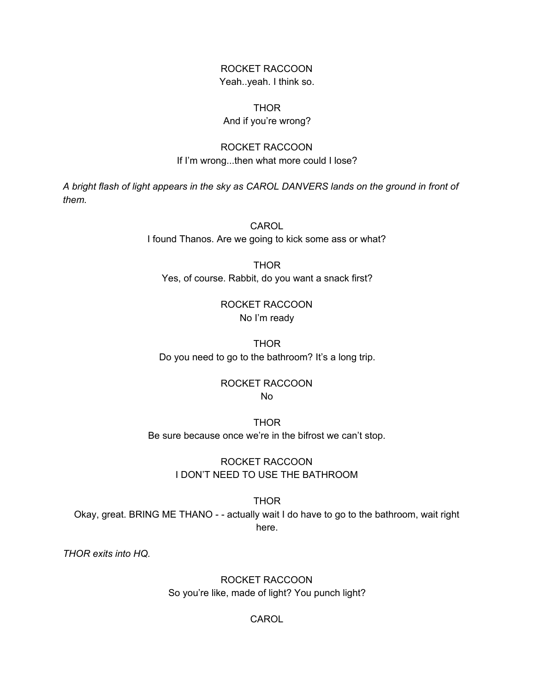# ROCKET RACCOON Yeah..yeah. I think so.

## **THOR** And if you're wrong?

# ROCKET RACCOON If I'm wrong...then what more could I lose?

*A bright flash of light appears in the sky as CAROL DANVERS lands on the ground in front of them.*

> **CAROL** I found Thanos. Are we going to kick some ass or what?

**THOR** Yes, of course. Rabbit, do you want a snack first?

> ROCKET RACCOON No I'm ready

**THOR** Do you need to go to the bathroom? It's a long trip.

# ROCKET RACCOON No

**THOR** Be sure because once we're in the bifrost we can't stop.

# ROCKET RACCOON I DON'T NEED TO USE THE BATHROOM

**THOR** Okay, great. BRING ME THANO - - actually wait I do have to go to the bathroom, wait right here.

*THOR exits into HQ.*

ROCKET RACCOON So you're like, made of light? You punch light?

**CAROL**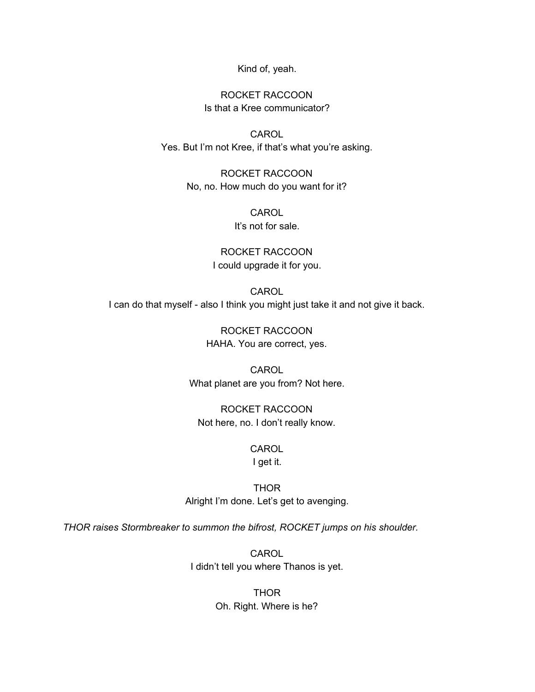Kind of, yeah.

ROCKET RACCOON Is that a Kree communicator?

**CAROL** Yes. But I'm not Kree, if that's what you're asking.

> ROCKET RACCOON No, no. How much do you want for it?

> > **CAROL** It's not for sale.

ROCKET RACCOON I could upgrade it for you.

**CAROL** I can do that myself - also I think you might just take it and not give it back.

> ROCKET RACCOON HAHA. You are correct, yes.

**CAROL** What planet are you from? Not here.

ROCKET RACCOON Not here, no. I don't really know.

**CAROL** 

I get it.

**THOR** Alright I'm done. Let's get to avenging.

*THOR raises Stormbreaker to summon the bifrost, ROCKET jumps on his shoulder.*

**CAROL** I didn't tell you where Thanos is yet.

> **THOR** Oh. Right. Where is he?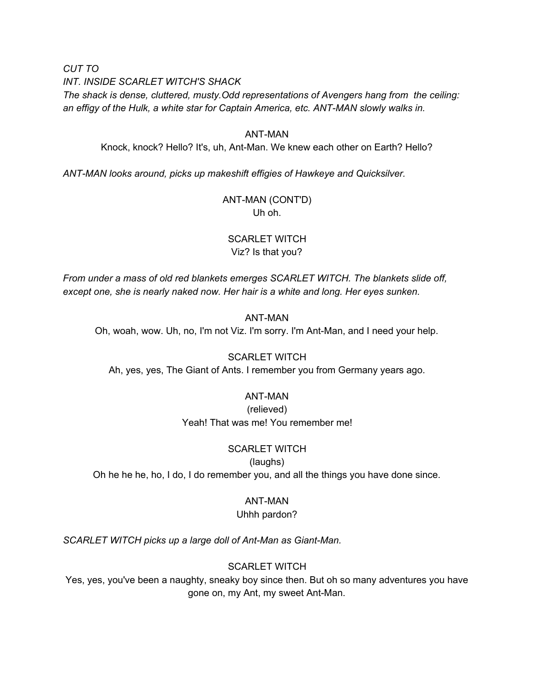*CUT TO INT. INSIDE SCARLET WITCH'S SHACK The shack is dense, cluttered, musty.Odd representations of Avengers hang from the ceiling: an effigy of the Hulk, a white star for Captain America, etc. ANT-MAN slowly walks in.*

ANT-MAN Knock, knock? Hello? It's, uh, Ant-Man. We knew each other on Earth? Hello?

*ANT-MAN looks around, picks up makeshift effigies of Hawkeye and Quicksilver.*

### ANT-MAN (CONT'D) Uh oh.

# SCARLET WITCH Viz? Is that you?

*From under a mass of old red blankets emerges SCARLET WITCH. The blankets slide off, except one, she is nearly naked now. Her hair is a white and long. Her eyes sunken.*

ANT-MAN Oh, woah, wow. Uh, no, I'm not Viz. I'm sorry. I'm Ant-Man, and I need your help.

SCARLET WITCH Ah, yes, yes, The Giant of Ants. I remember you from Germany years ago.

### ANT-MAN

(relieved) Yeah! That was me! You remember me!

# SCARLET WITCH

(laughs)

Oh he he he, ho, I do, I do remember you, and all the things you have done since.

### ANT-MAN

Uhhh pardon?

*SCARLET WITCH picks up a large doll of Ant-Man as Giant-Man.*

# SCARLET WITCH

Yes, yes, you've been a naughty, sneaky boy since then. But oh so many adventures you have gone on, my Ant, my sweet Ant-Man.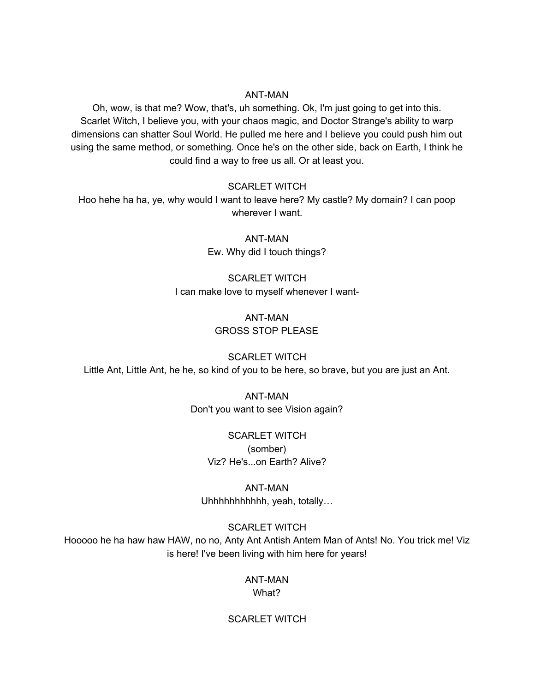#### ANT-MAN

Oh, wow, is that me? Wow, that's, uh something. Ok, I'm just going to get into this. Scarlet Witch, I believe you, with your chaos magic, and Doctor Strange's ability to warp dimensions can shatter Soul World. He pulled me here and I believe you could push him out using the same method, or something. Once he's on the other side, back on Earth, I think he could find a way to free us all. Or at least you.

### SCARLET WITCH

Hoo hehe ha ha, ye, why would I want to leave here? My castle? My domain? I can poop wherever I want.

> ANT-MAN Ew. Why did I touch things?

SCARLET WITCH I can make love to myself whenever I want-

# ANT-MAN GROSS STOP PLEASE

# SCARLET WITCH Little Ant, Little Ant, he he, so kind of you to be here, so brave, but you are just an Ant.

ANT-MAN Don't you want to see Vision again?

# SCARLET WITCH (somber) Viz? He's...on Earth? Alive?

ANT-MAN Uhhhhhhhhhhh, yeah, totally…

# SCARLET WITCH

Hooooo he ha haw haw HAW, no no, Anty Ant Antish Antem Man of Ants! No. You trick me! Viz is here! I've been living with him here for years!

# ANT-MAN What?

### SCARLET WITCH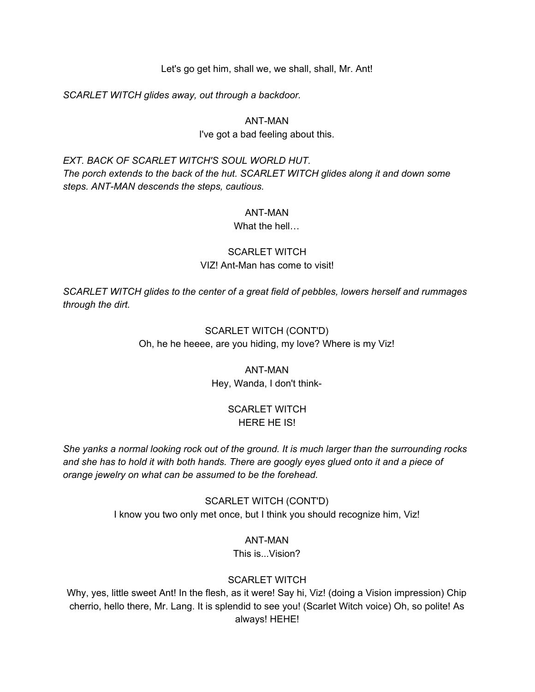Let's go get him, shall we, we shall, shall, Mr. Ant!

*SCARLET WITCH glides away, out through a backdoor.*

# ANT-MAN

### I've got a bad feeling about this.

*EXT. BACK OF SCARLET WITCH'S SOUL WORLD HUT. The porch extends to the back of the hut. SCARLET WITCH glides along it and down some steps. ANT-MAN descends the steps, cautious.*

### ANT-MAN

### What the hell...

### SCARLET WITCH VIZ! Ant-Man has come to visit!

*SCARLET WITCH glides to the center of a great field of pebbles, lowers herself and rummages through the dirt.*

# SCARLET WITCH (CONT'D) Oh, he he heeee, are you hiding, my love? Where is my Viz!

# ANT-MAN Hey, Wanda, I don't think-

### SCARLET WITCH HERE HE IS!

*She yanks a normal looking rock out of the ground. It is much larger than the surrounding rocks* and she has to hold it with both hands. There are googly eyes glued onto it and a piece of *orange jewelry on what can be assumed to be the forehead.*

# SCARLET WITCH (CONT'D)

I know you two only met once, but I think you should recognize him, Viz!

# ANT-MAN

# This is...Vision?

# SCARLET WITCH

Why, yes, little sweet Ant! In the flesh, as it were! Say hi, Viz! (doing a Vision impression) Chip cherrio, hello there, Mr. Lang. It is splendid to see you! (Scarlet Witch voice) Oh, so polite! As always! HEHE!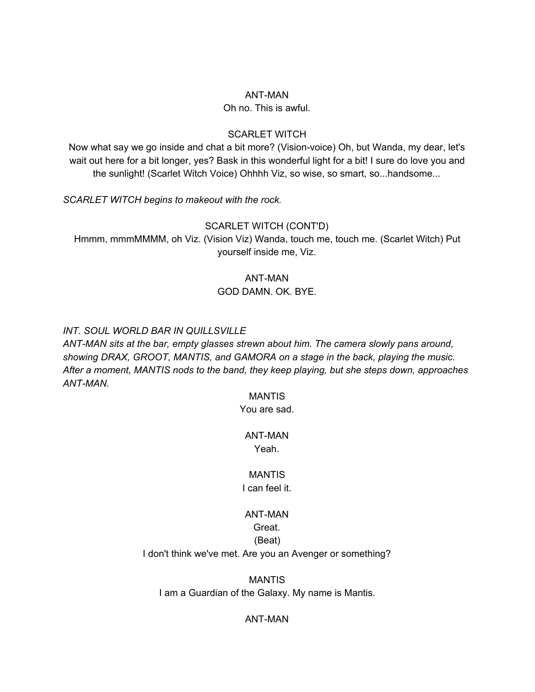#### ANT-MAN

#### Oh no. This is awful.

#### SCARLET WITCH

Now what say we go inside and chat a bit more? (Vision-voice) Oh, but Wanda, my dear, let's wait out here for a bit longer, yes? Bask in this wonderful light for a bit! I sure do love you and the sunlight! (Scarlet Witch Voice) Ohhhh Viz, so wise, so smart, so...handsome...

*SCARLET WITCH begins to makeout with the rock.*

#### SCARLET WITCH (CONT'D)

Hmmm, mmmMMMM, oh Viz. (Vision Viz) Wanda, touch me, touch me. (Scarlet Witch) Put yourself inside me, Viz.

### ANT-MAN

### GOD DAMN. OK. BYE.

*INT. SOUL WORLD BAR IN QUILLSVILLE*

*ANT-MAN sits at the bar, empty glasses strewn about him. The camera slowly pans around, showing DRAX, GROOT, MANTIS, and GAMORA on a stage in the back, playing the music. After a moment, MANTIS nods to the band, they keep playing, but she steps down, approaches ANT-MAN.*

# **MANTIS**

## You are sad.

# ANT-MAN

Yeah.

# **MANTIS**

I can feel it.

### ANT-MAN

# Great.

# (Beat)

I don't think we've met. Are you an Avenger or something?

**MANTIS** I am a Guardian of the Galaxy. My name is Mantis.

ANT-MAN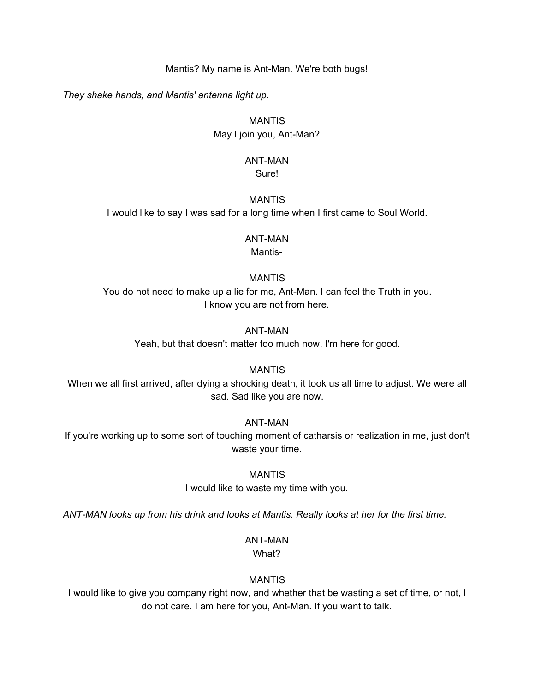Mantis? My name is Ant-Man. We're both bugs!

*They shake hands, and Mantis' antenna light up.*

### **MANTIS**

May I join you, Ant-Man?

# ANT-MAN

Sure!

### **MANTIS**

I would like to say I was sad for a long time when I first came to Soul World.

### ANT-MAN

Mantis-

# MANTIS

You do not need to make up a lie for me, Ant-Man. I can feel the Truth in you. I know you are not from here.

# ANT-MAN

Yeah, but that doesn't matter too much now. I'm here for good.

# **MANTIS**

When we all first arrived, after dying a shocking death, it took us all time to adjust. We were all sad. Sad like you are now.

# ANT-MAN

If you're working up to some sort of touching moment of catharsis or realization in me, just don't waste your time.

# MANTIS

I would like to waste my time with you.

*ANT-MAN looks up from his drink and looks at Mantis. Really looks at her for the first time.*

#### ANT-MAN What?

# **MANTIS**

I would like to give you company right now, and whether that be wasting a set of time, or not, I do not care. I am here for you, Ant-Man. If you want to talk.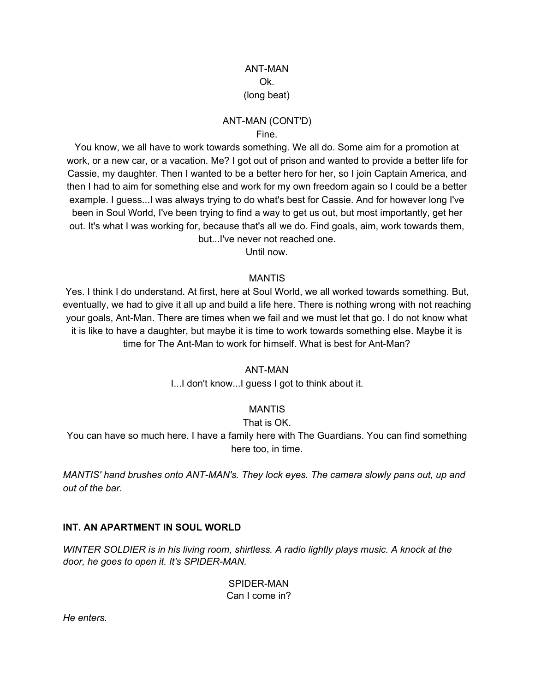# ANT-MAN Ok. (long beat)

# ANT-MAN (CONT'D)

Fine.

You know, we all have to work towards something. We all do. Some aim for a promotion at work, or a new car, or a vacation. Me? I got out of prison and wanted to provide a better life for Cassie, my daughter. Then I wanted to be a better hero for her, so I join Captain America, and then I had to aim for something else and work for my own freedom again so I could be a better example. I guess...I was always trying to do what's best for Cassie. And for however long I've been in Soul World, I've been trying to find a way to get us out, but most importantly, get her out. It's what I was working for, because that's all we do. Find goals, aim, work towards them, but...I've never not reached one.

Until now.

#### MANTIS

Yes. I think I do understand. At first, here at Soul World, we all worked towards something. But, eventually, we had to give it all up and build a life here. There is nothing wrong with not reaching your goals, Ant-Man. There are times when we fail and we must let that go. I do not know what it is like to have a daughter, but maybe it is time to work towards something else. Maybe it is time for The Ant-Man to work for himself. What is best for Ant-Man?

#### ANT-MAN

I...I don't know...I guess I got to think about it.

### **MANTIS**

That is OK.

You can have so much here. I have a family here with The Guardians. You can find something here too, in time.

*MANTIS' hand brushes onto ANT-MAN's. They lock eyes. The camera slowly pans out, up and out of the bar.*

### **INT. AN APARTMENT IN SOUL WORLD**

*WINTER SOLDIER is in his living room, shirtless. A radio lightly plays music. A knock at the door, he goes to open it. It's SPIDER-MAN.*

> SPIDER-MAN Can I come in?

*He enters.*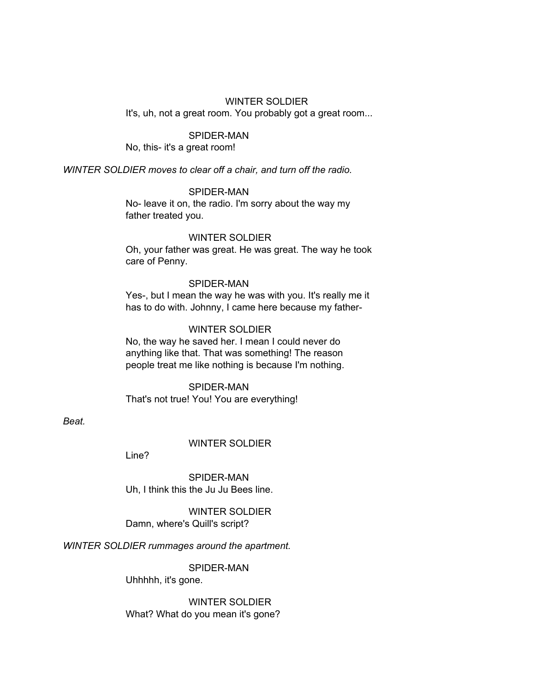#### WINTER SOLDIER

It's, uh, not a great room. You probably got a great room...

#### SPIDER-MAN

No, this- it's a great room!

*WINTER SOLDIER moves to clear off a chair, and turn off the radio.*

#### SPIDER-MAN

No- leave it on, the radio. I'm sorry about the way my father treated you.

#### WINTER SOLDIER

Oh, your father was great. He was great. The way he took care of Penny.

#### SPIDER-MAN

Yes-, but I mean the way he was with you. It's really me it has to do with. Johnny, I came here because my father-

#### WINTER SOLDIER

No, the way he saved her. I mean I could never do anything like that. That was something! The reason people treat me like nothing is because I'm nothing.

#### SPIDER-MAN

That's not true! You! You are everything!

*Beat.*

#### WINTER SOLDIER

Line?

#### SPIDER-MAN Uh, I think this the Ju Ju Bees line.

WINTER SOLDIER Damn, where's Quill's script?

*WINTER SOLDIER rummages around the apartment.*

SPIDER-MAN Uhhhhh, it's gone.

WINTER SOLDIER What? What do you mean it's gone?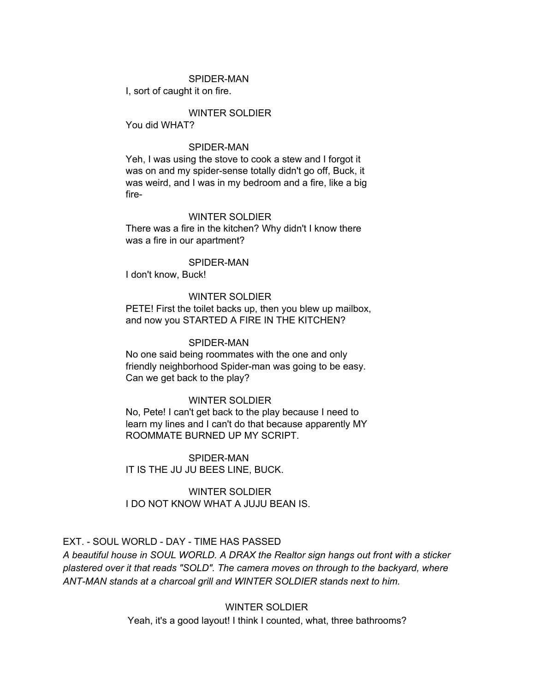#### SPIDER-MAN

I, sort of caught it on fire.

#### WINTER SOLDIER

You did WHAT?

#### SPIDER-MAN

Yeh, I was using the stove to cook a stew and I forgot it was on and my spider-sense totally didn't go off, Buck, it was weird, and I was in my bedroom and a fire, like a big fire-

#### WINTER SOLDIER

There was a fire in the kitchen? Why didn't I know there was a fire in our apartment?

#### SPIDER-MAN

I don't know, Buck!

#### WINTER SOLDIER

PETE! First the toilet backs up, then you blew up mailbox, and now you STARTED A FIRE IN THE KITCHEN?

#### SPIDER-MAN

No one said being roommates with the one and only friendly neighborhood Spider-man was going to be easy. Can we get back to the play?

#### WINTER SOLDIER

No, Pete! I can't get back to the play because I need to learn my lines and I can't do that because apparently MY ROOMMATE BURNED UP MY SCRIPT.

SPIDER-MAN IT IS THE JU JU BEES LINE, BUCK.

WINTER SOLDIER I DO NOT KNOW WHAT A JUJU BEAN IS.

#### EXT. - SOUL WORLD - DAY - TIME HAS PASSED

*A beautiful house in SOUL WORLD. A DRAX the Realtor sign hangs out front with a sticker plastered over it that reads "SOLD". The camera moves on through to the backyard, where ANT-MAN stands at a charcoal grill and WINTER SOLDIER stands next to him.*

> WINTER SOLDIER Yeah, it's a good layout! I think I counted, what, three bathrooms?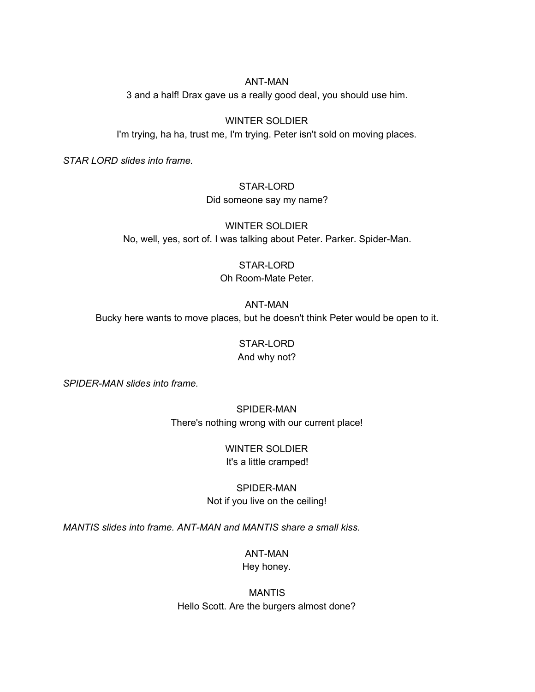### ANT-MAN

3 and a half! Drax gave us a really good deal, you should use him.

### WINTER SOLDIER

I'm trying, ha ha, trust me, I'm trying. Peter isn't sold on moving places.

*STAR LORD slides into frame.*

# STAR-LORD Did someone say my name?

WINTER SOLDIER No, well, yes, sort of. I was talking about Peter. Parker. Spider-Man.

# STAR-LORD

Oh Room-Mate Peter.

# ANT-MAN Bucky here wants to move places, but he doesn't think Peter would be open to it.

# STAR-LORD And why not?

*SPIDER-MAN slides into frame.*

SPIDER-MAN There's nothing wrong with our current place!

## WINTER SOLDIER It's a little cramped!

SPIDER-MAN Not if you live on the ceiling!

*MANTIS slides into frame. ANT-MAN and MANTIS share a small kiss.*

# ANT-MAN Hey honey.

**MANTIS** Hello Scott. Are the burgers almost done?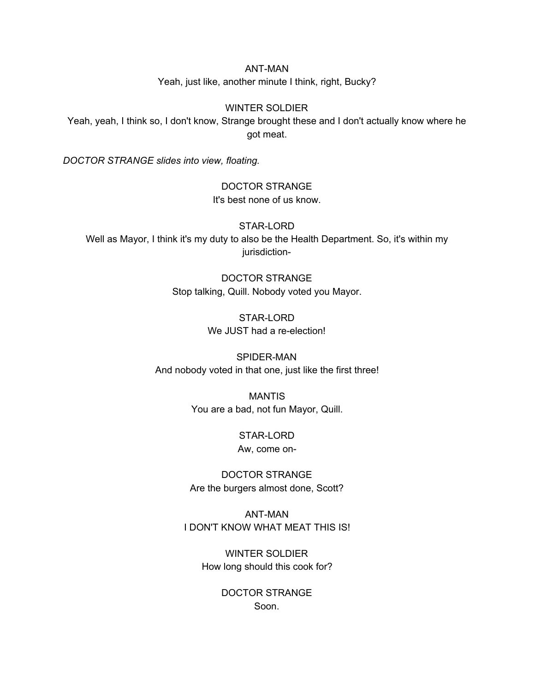ANT-MAN Yeah, just like, another minute I think, right, Bucky?

WINTER SOLDIER Yeah, yeah, I think so, I don't know, Strange brought these and I don't actually know where he got meat.

*DOCTOR STRANGE slides into view, floating.*

#### DOCTOR STRANGE It's best none of us know.

STAR-LORD Well as Mayor, I think it's my duty to also be the Health Department. So, it's within my jurisdiction-

> DOCTOR STRANGE Stop talking, Quill. Nobody voted you Mayor.

> > STAR-LORD We JUST had a re-election!

SPIDER-MAN And nobody voted in that one, just like the first three!

> **MANTIS** You are a bad, not fun Mayor, Quill.

> > STAR-LORD Aw, come on-

DOCTOR STRANGE Are the burgers almost done, Scott?

ANT-MAN I DON'T KNOW WHAT MEAT THIS IS!

> WINTER SOLDIER How long should this cook for?

> > DOCTOR STRANGE Soon.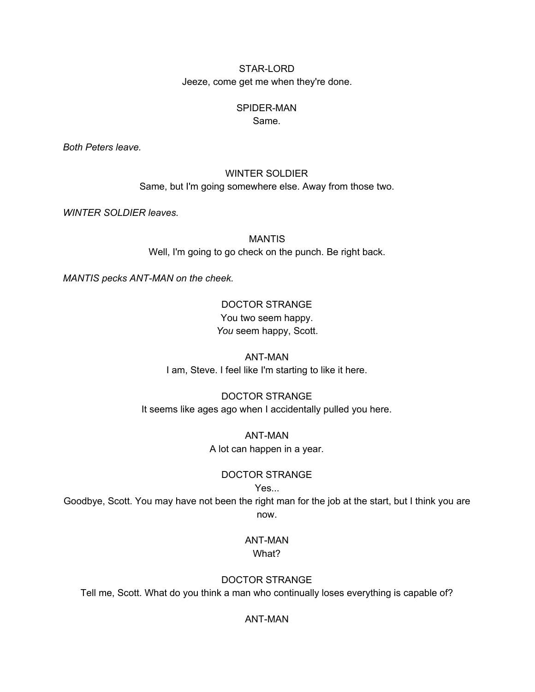STAR-LORD Jeeze, come get me when they're done.

# SPIDER-MAN

Same.

*Both Peters leave.*

# WINTER SOLDIER

Same, but I'm going somewhere else. Away from those two.

*WINTER SOLDIER leaves.*

MANTIS Well, I'm going to go check on the punch. Be right back.

*MANTIS pecks ANT-MAN on the cheek.*

DOCTOR STRANGE You two seem happy. *You* seem happy, Scott.

ANT-MAN I am, Steve. I feel like I'm starting to like it here.

DOCTOR STRANGE It seems like ages ago when I accidentally pulled you here.

> ANT-MAN A lot can happen in a year.

# DOCTOR STRANGE

Yes...

Goodbye, Scott. You may have not been the right man for the job at the start, but I think you are now.

# ANT-MAN What?

DOCTOR STRANGE

Tell me, Scott. What do you think a man who continually loses everything is capable of?

# ANT-MAN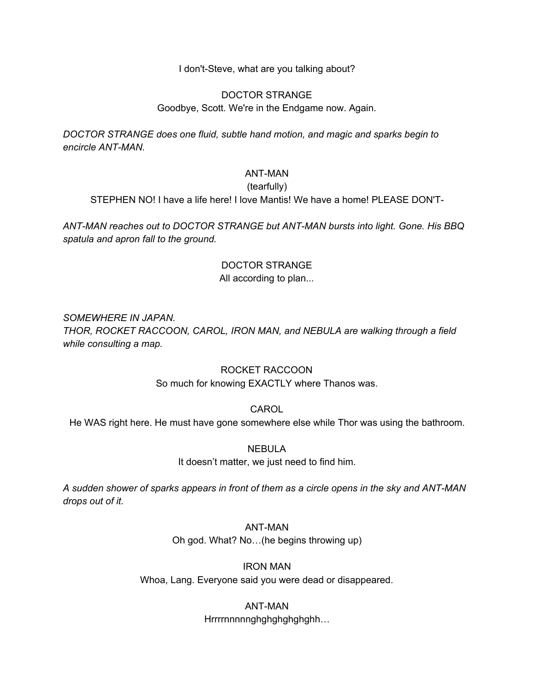I don't-Steve, what are you talking about?

# DOCTOR STRANGE

Goodbye, Scott. We're in the Endgame now. Again.

*DOCTOR STRANGE does one fluid, subtle hand motion, and magic and sparks begin to encircle ANT-MAN.*

#### ANT-MAN

#### (tearfully)

STEPHEN NO! I have a life here! I love Mantis! We have a home! PLEASE DON'T-

*ANT-MAN reaches out to DOCTOR STRANGE but ANT-MAN bursts into light. Gone. His BBQ spatula and apron fall to the ground.*

# DOCTOR STRANGE

# All according to plan...

*SOMEWHERE IN JAPAN.*

*THOR, ROCKET RACCOON, CAROL, IRON MAN, and NEBULA are walking through a field while consulting a map.*

#### ROCKET RACCOON

So much for knowing EXACTLY where Thanos was.

# **CAROL**

He WAS right here. He must have gone somewhere else while Thor was using the bathroom.

# **NEBULA**

It doesn't matter, we just need to find him.

*A sudden shower of sparks appears in front of them as a circle opens in the sky and ANT-MAN drops out of it.*

#### ANT-MAN

Oh god. What? No…(he begins throwing up)

# IRON MAN

Whoa, Lang. Everyone said you were dead or disappeared.

# ANT-MAN

Hrrrrnnnnnghghghghghghh…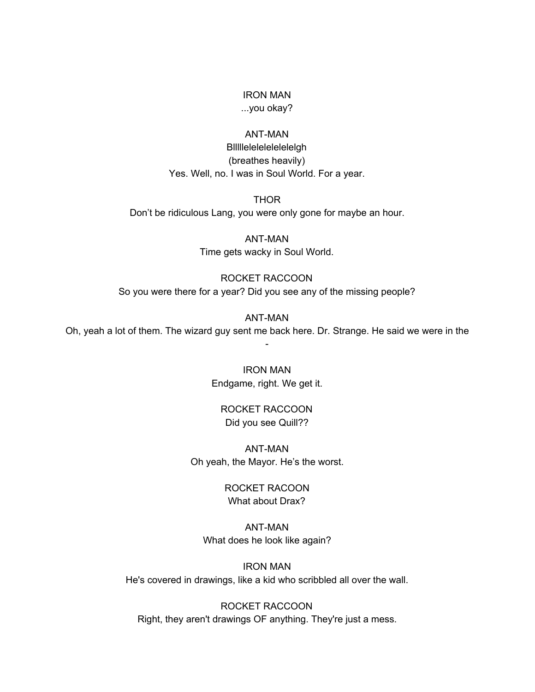# IRON MAN

...you okay?

ANT-MAN Blllllelelelelelelelgh (breathes heavily) Yes. Well, no. I was in Soul World. For a year.

**THOR** Don't be ridiculous Lang, you were only gone for maybe an hour.

> ANT-MAN Time gets wacky in Soul World.

ROCKET RACCOON So you were there for a year? Did you see any of the missing people?

ANT-MAN Oh, yeah a lot of them. The wizard guy sent me back here. Dr. Strange. He said we were in the -

> IRON MAN Endgame, right. We get it.

ROCKET RACCOON Did you see Quill??

ANT-MAN Oh yeah, the Mayor. He's the worst.

> ROCKET RACOON What about Drax?

ANT-MAN What does he look like again?

IRON MAN He's covered in drawings, like a kid who scribbled all over the wall.

ROCKET RACCOON Right, they aren't drawings OF anything. They're just a mess.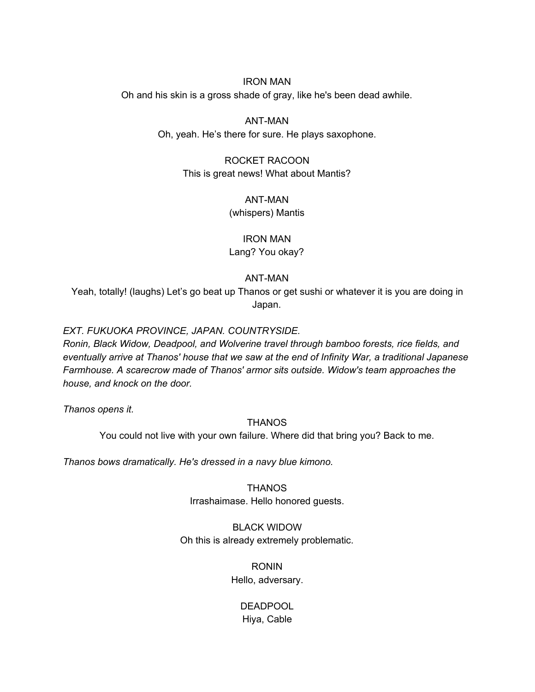#### IRON MAN

Oh and his skin is a gross shade of gray, like he's been dead awhile.

#### ANT-MAN

Oh, yeah. He's there for sure. He plays saxophone.

# ROCKET RACOON This is great news! What about Mantis?

### ANT-MAN

(whispers) Mantis

#### IRON MAN

Lang? You okay?

#### ANT-MAN

Yeah, totally! (laughs) Let's go beat up Thanos or get sushi or whatever it is you are doing in Japan.

### *EXT. FUKUOKA PROVINCE, JAPAN. COUNTRYSIDE.*

*Ronin, Black Widow, Deadpool, and Wolverine travel through bamboo forests, rice fields, and eventually arrive at Thanos' house that we saw at the end of Infinity War, a traditional Japanese Farmhouse. A scarecrow made of Thanos' armor sits outside. Widow's team approaches the house, and knock on the door.*

*Thanos opens it.*

#### THANOS

You could not live with your own failure. Where did that bring you? Back to me.

*Thanos bows dramatically. He's dressed in a navy blue kimono.*

**THANOS** Irrashaimase. Hello honored guests.

# BLACK WIDOW Oh this is already extremely problematic.

RONIN Hello, adversary.

> DEADPOOL Hiya, Cable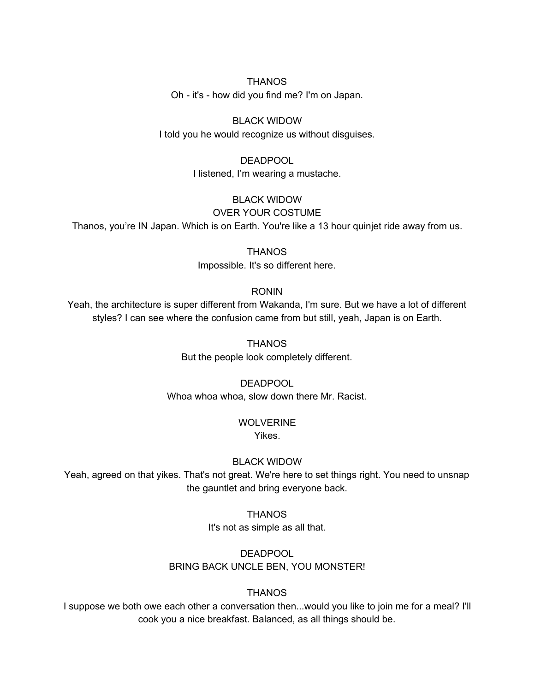Oh - it's - how did you find me? I'm on Japan.

### BLACK WIDOW

I told you he would recognize us without disguises.

### **DEADPOOL**

I listened, I'm wearing a mustache.

# BLACK WIDOW

#### OVER YOUR COSTUME

Thanos, you're IN Japan. Which is on Earth. You're like a 13 hour quinjet ride away from us.

#### THANOS Impossible. It's so different here.

RONIN

Yeah, the architecture is super different from Wakanda, I'm sure. But we have a lot of different styles? I can see where the confusion came from but still, yeah, Japan is on Earth.

> THANOS But the people look completely different.

# **DEADPOOL** Whoa whoa whoa, slow down there Mr. Racist.

# WOLVERINE

Yikes.

# BLACK WIDOW

Yeah, agreed on that yikes. That's not great. We're here to set things right. You need to unsnap the gauntlet and bring everyone back.

#### **THANOS** It's not as simple as all that.

**DEADPOOL** BRING BACK UNCLE BEN, YOU MONSTER!

# THANOS

I suppose we both owe each other a conversation then...would you like to join me for a meal? I'll cook you a nice breakfast. Balanced, as all things should be.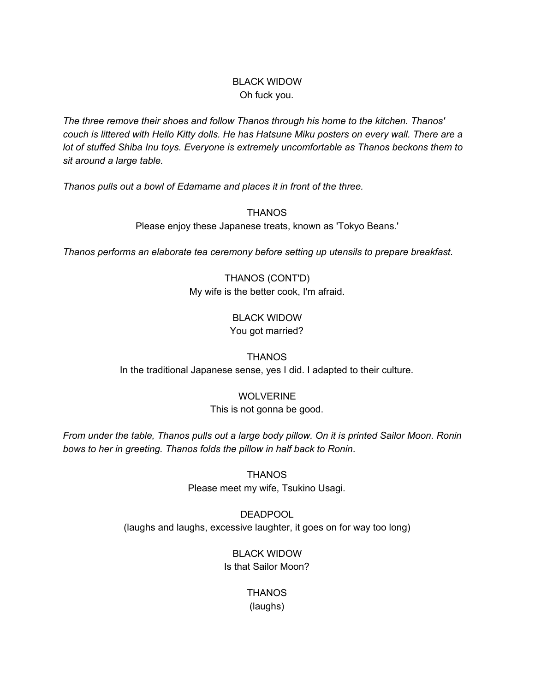### BLACK WIDOW Oh fuck you.

*The three remove their shoes and follow Thanos through his home to the kitchen. Thanos' couch is littered with Hello Kitty dolls. He has Hatsune Miku posters on every wall. There are a lot of stuffed Shiba Inu toys. Everyone is extremely uncomfortable as Thanos beckons them to sit around a large table.*

*Thanos pulls out a bowl of Edamame and places it in front of the three.*

**THANOS** Please enjoy these Japanese treats, known as 'Tokyo Beans.'

*Thanos performs an elaborate tea ceremony before setting up utensils to prepare breakfast.*

THANOS (CONT'D) My wife is the better cook, I'm afraid.

> BLACK WIDOW You got married?

**THANOS** In the traditional Japanese sense, yes I did. I adapted to their culture.

> **WOLVERINE** This is not gonna be good.

*From under the table, Thanos pulls out a large body pillow. On it is printed Sailor Moon. Ronin bows to her in greeting. Thanos folds the pillow in half back to Ronin*.

> **THANOS** Please meet my wife, Tsukino Usagi.

**DEADPOOL** (laughs and laughs, excessive laughter, it goes on for way too long)

> BLACK WIDOW Is that Sailor Moon?

> > THANOS (laughs)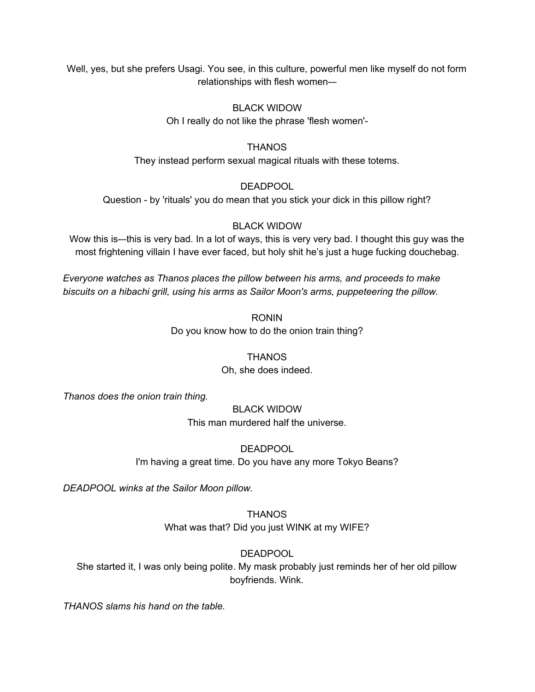Well, yes, but she prefers Usagi. You see, in this culture, powerful men like myself do not form relationships with flesh women-–

# BLACK WIDOW

Oh I really do not like the phrase 'flesh women'-

# THANOS

They instead perform sexual magical rituals with these totems.

# **DEADPOOL**

Question - by 'rituals' you do mean that you stick your dick in this pillow right?

# BLACK WIDOW

Wow this is-–this is very bad. In a lot of ways, this is very very bad. I thought this guy was the most frightening villain I have ever faced, but holy shit he's just a huge fucking douchebag.

*Everyone watches as Thanos places the pillow between his arms, and proceeds to make biscuits on a hibachi grill, using his arms as Sailor Moon's arms, puppeteering the pillow.*

> RONIN Do you know how to do the onion train thing?

#### **THANOS** Oh, she does indeed.

*Thanos does the onion train thing.*

BLACK WIDOW This man murdered half the universe.

# DEADPOOL I'm having a great time. Do you have any more Tokyo Beans?

*DEADPOOL winks at the Sailor Moon pillow.*

**THANOS** What was that? Did you just WINK at my WIFE?

# **DEADPOOL**

She started it, I was only being polite. My mask probably just reminds her of her old pillow boyfriends. Wink.

*THANOS slams his hand on the table.*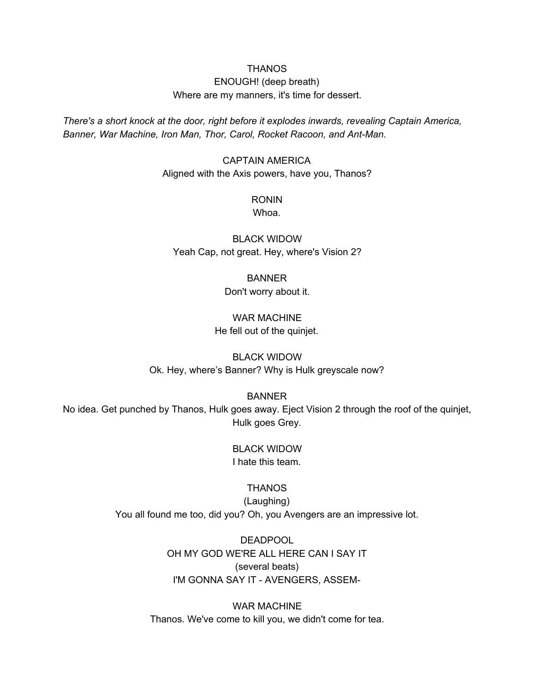ENOUGH! (deep breath) Where are my manners, it's time for dessert.

*There's a short knock at the door, right before it explodes inwards, revealing Captain America, Banner, War Machine, Iron Man, Thor, Carol, Rocket Racoon, and Ant-Man.*

> CAPTAIN AMERICA Aligned with the Axis powers, have you, Thanos?

> > RONIN Whoa.

BLACK WIDOW Yeah Cap, not great. Hey, where's Vision 2?

> BANNER Don't worry about it.

WAR MACHINE He fell out of the quinjet.

BLACK WIDOW Ok. Hey, where's Banner? Why is Hulk greyscale now?

**BANNER** No idea. Get punched by Thanos, Hulk goes away. Eject Vision 2 through the roof of the quinjet, Hulk goes Grey.

> BLACK WIDOW I hate this team.

**THANOS** (Laughing) You all found me too, did you? Oh, you Avengers are an impressive lot.

> **DEADPOOL** OH MY GOD WE'RE ALL HERE CAN I SAY IT (several beats) I'M GONNA SAY IT - AVENGERS, ASSEM-

WAR MACHINE Thanos. We've come to kill you, we didn't come for tea.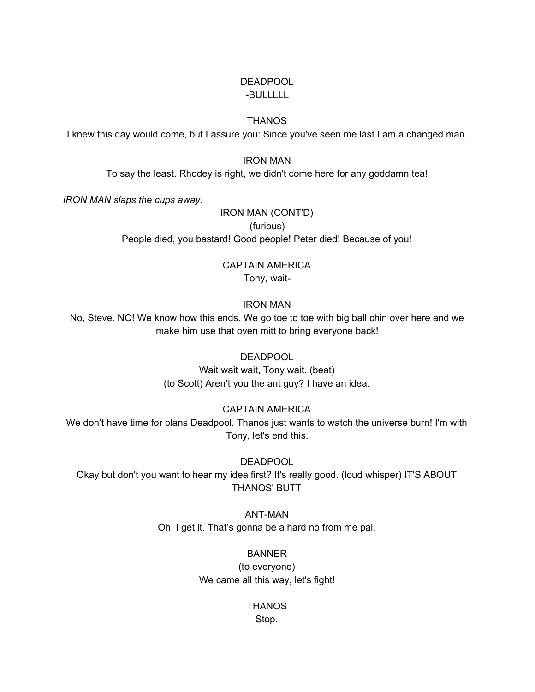#### DEADPOOL -BULLLLL

#### **THANOS**

I knew this day would come, but I assure you: Since you've seen me last I am a changed man.

#### IRON MAN

To say the least. Rhodey is right, we didn't come here for any goddamn tea!

*IRON MAN slaps the cups away.*

# IRON MAN (CONT'D) (furious) People died, you bastard! Good people! Peter died! Because of you!

# CAPTAIN AMERICA

Tony, wait-

# IRON MAN

No, Steve. NO! We know how this ends. We go toe to toe with big ball chin over here and we make him use that oven mitt to bring everyone back!

#### DEADPOOL

Wait wait wait, Tony wait. (beat) (to Scott) Aren't you the ant guy? I have an idea.

#### CAPTAIN AMERICA

We don't have time for plans Deadpool. Thanos just wants to watch the universe burn! I'm with Tony, let's end this.

#### **DEADPOOL**

Okay but don't you want to hear my idea first? It's really good. (loud whisper) IT'S ABOUT THANOS' BUTT

> ANT-MAN Oh. I get it. That's gonna be a hard no from me pal.

#### BANNER

(to everyone) We came all this way, let's fight!

> **THANOS** Stop.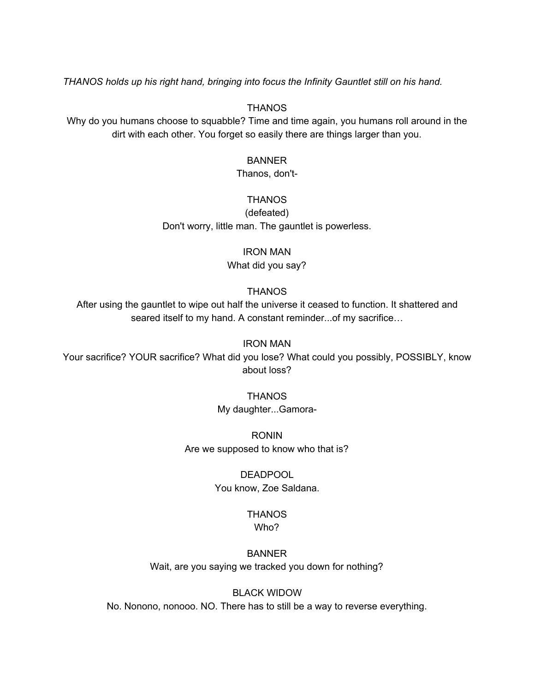*THANOS holds up his right hand, bringing into focus the Infinity Gauntlet still on his hand.*

#### **THANOS**

Why do you humans choose to squabble? Time and time again, you humans roll around in the dirt with each other. You forget so easily there are things larger than you.

#### BANNER

#### Thanos, don't-

#### **THANOS**

(defeated) Don't worry, little man. The gauntlet is powerless.

#### IRON MAN

#### What did you say?

# **THANOS**

After using the gauntlet to wipe out half the universe it ceased to function. It shattered and seared itself to my hand. A constant reminder...of my sacrifice...

IRON MAN

Your sacrifice? YOUR sacrifice? What did you lose? What could you possibly, POSSIBLY, know about loss?

# THANOS

#### My daughter...Gamora-

RONIN Are we supposed to know who that is?

#### **DEADPOOL**

You know, Zoe Saldana.

#### **THANOS** Who?

# BANNER Wait, are you saying we tracked you down for nothing?

#### BLACK WIDOW

No. Nonono, nonooo. NO. There has to still be a way to reverse everything.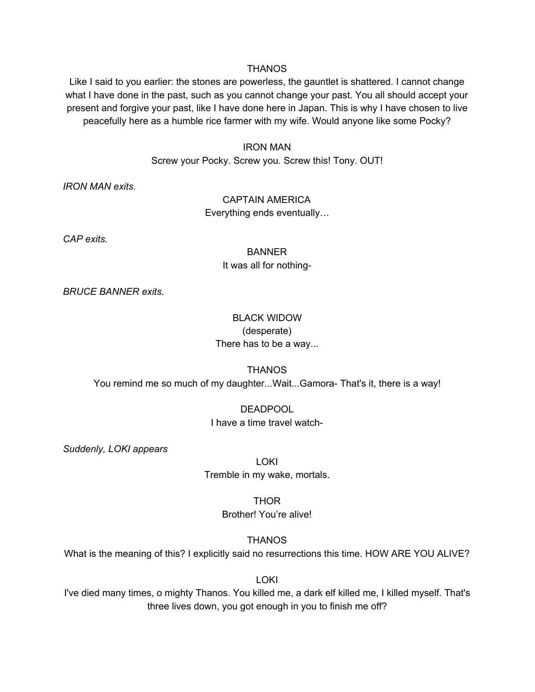Like I said to you earlier: the stones are powerless, the gauntlet is shattered. I cannot change what I have done in the past, such as you cannot change your past. You all should accept your present and forgive your past, like I have done here in Japan. This is why I have chosen to live peacefully here as a humble rice farmer with my wife. Would anyone like some Pocky?

#### IRON MAN

Screw your Pocky. Screw you. Screw this! Tony. OUT!

*IRON MAN exits.*

# CAPTAIN AMERICA Everything ends eventually…

*CAP exits.*

# BANNER It was all for nothing-

*BRUCE BANNER exits.*

# BLACK WIDOW (desperate) There has to be a way...

#### **THANOS**

You remind me so much of my daughter...Wait...Gamora- That's it, there is a way!

DEADPOOL I have a time travel watch-

*Suddenly, LOKI appears*

LOKI

Tremble in my wake, mortals.

#### **THOR**

Brother! You're alive!

**THANOS** 

What is the meaning of this? I explicitly said no resurrections this time. HOW ARE YOU ALIVE?

LOKI

I've died many times, o mighty Thanos. You killed me, a dark elf killed me, I killed myself. That's three lives down, you got enough in you to finish me off?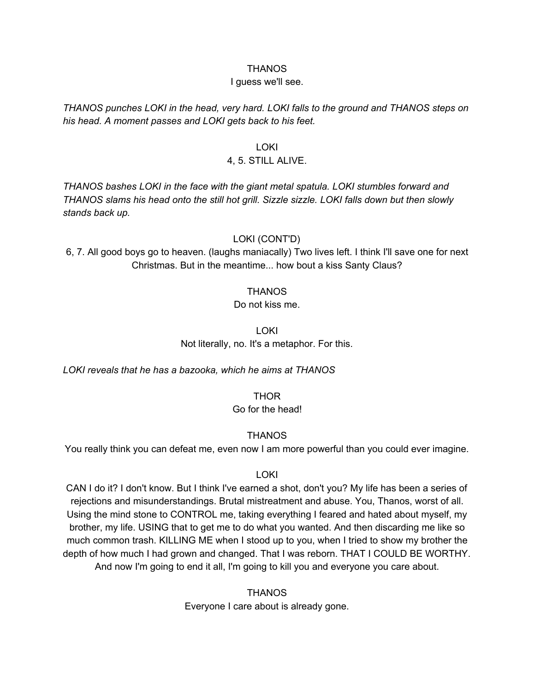#### I guess we'll see.

*THANOS punches LOKI in the head, very hard. LOKI falls to the ground and THANOS steps on his head. A moment passes and LOKI gets back to his feet.*

#### LOKI

#### 4, 5. STILL ALIVE.

*THANOS bashes LOKI in the face with the giant metal spatula. LOKI stumbles forward and THANOS slams his head onto the still hot grill. Sizzle sizzle. LOKI falls down but then slowly stands back up.*

### LOKI (CONT'D)

6, 7. All good boys go to heaven. (laughs maniacally) Two lives left. I think I'll save one for next Christmas. But in the meantime... how bout a kiss Santy Claus?

#### **THANOS**

#### Do not kiss me.

LOKI Not literally, no. It's a metaphor. For this.

*LOKI reveals that he has a bazooka, which he aims at THANOS*

THOR

### Go for the head!

#### THANOS

You really think you can defeat me, even now I am more powerful than you could ever imagine.

#### LOKI

CAN I do it? I don't know. But I think I've earned a shot, don't you? My life has been a series of rejections and misunderstandings. Brutal mistreatment and abuse. You, Thanos, worst of all. Using the mind stone to CONTROL me, taking everything I feared and hated about myself, my brother, my life. USING that to get me to do what you wanted. And then discarding me like so much common trash. KILLING ME when I stood up to you, when I tried to show my brother the depth of how much I had grown and changed. That I was reborn. THAT I COULD BE WORTHY. And now I'm going to end it all, I'm going to kill you and everyone you care about.

**THANOS** 

Everyone I care about is already gone.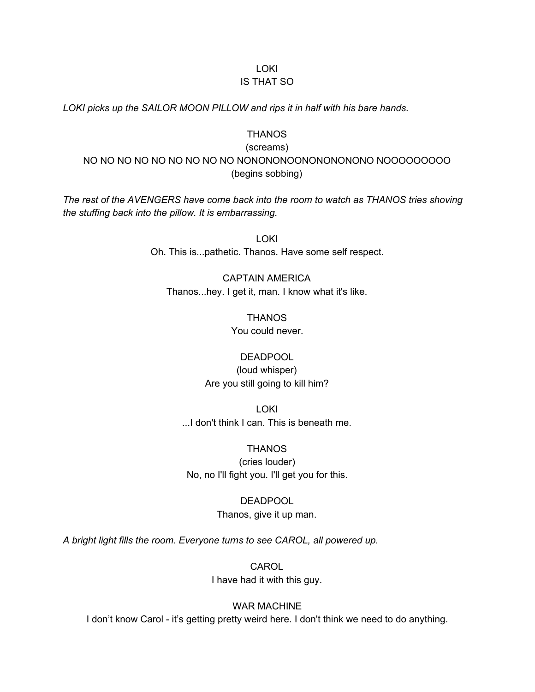### LOKI IS THAT SO

*LOKI picks up the SAILOR MOON PILLOW and rips it in half with his bare hands.*

# **THANOS**

(screams) NO NO NO NO NO NO NO NO NO NONONONOONONONONONO NOOOOOOOOO (begins sobbing)

*The rest of the AVENGERS have come back into the room to watch as THANOS tries shoving the stuffing back into the pillow. It is embarrassing.*

> LOKI Oh. This is...pathetic. Thanos. Have some self respect.

CAPTAIN AMERICA Thanos...hey. I get it, man. I know what it's like.

> **THANOS** You could never.

#### DEADPOOL

(loud whisper) Are you still going to kill him?

LOKI ...I don't think I can. This is beneath me.

# **THANOS**

(cries louder) No, no I'll fight you. I'll get you for this.

**DEADPOOL** 

Thanos, give it up man.

*A bright light fills the room. Everyone turns to see CAROL, all powered up.*

**CAROL** I have had it with this guy.

#### WAR MACHINE

I don't know Carol - it's getting pretty weird here. I don't think we need to do anything.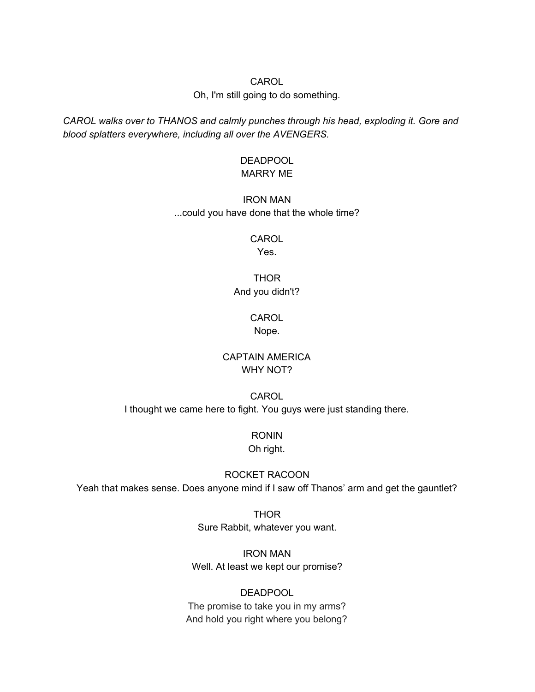### **CAROL** Oh, I'm still going to do something.

*CAROL walks over to THANOS and calmly punches through his head, exploding it. Gore and blood splatters everywhere, including all over the AVENGERS.*

### DEADPOOL MARRY ME

IRON MAN ...could you have done that the whole time?

#### **CAROL**

Yes.

# **THOR** And you didn't?

# **CAROL**

Nope.

# CAPTAIN AMERICA WHY NOT?

**CAROL** I thought we came here to fight. You guys were just standing there.

### RONIN Oh right.

ROCKET RACOON Yeah that makes sense. Does anyone mind if I saw off Thanos' arm and get the gauntlet?

> **THOR** Sure Rabbit, whatever you want.

IRON MAN Well. At least we kept our promise?

DEADPOOL The promise to take you in my arms? And hold you right where you belong?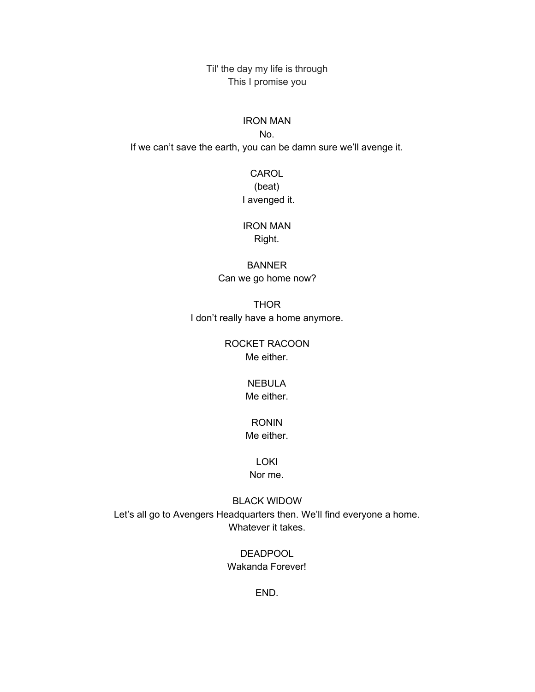Til' the day my life is through This I promise you

#### IRON MAN

No.

If we can't save the earth, you can be damn sure we'll avenge it.

# **CAROL** (beat) I avenged it.

# IRON MAN Right.

BANNER Can we go home now?

**THOR** I don't really have a home anymore.

> ROCKET RACOON Me either.

### NEBULA

Me either.

#### RONIN Me either.

# LOKI

#### Nor me.

BLACK WIDOW Let's all go to Avengers Headquarters then. We'll find everyone a home. Whatever it takes.

> DEADPOOL Wakanda Forever!

> > END.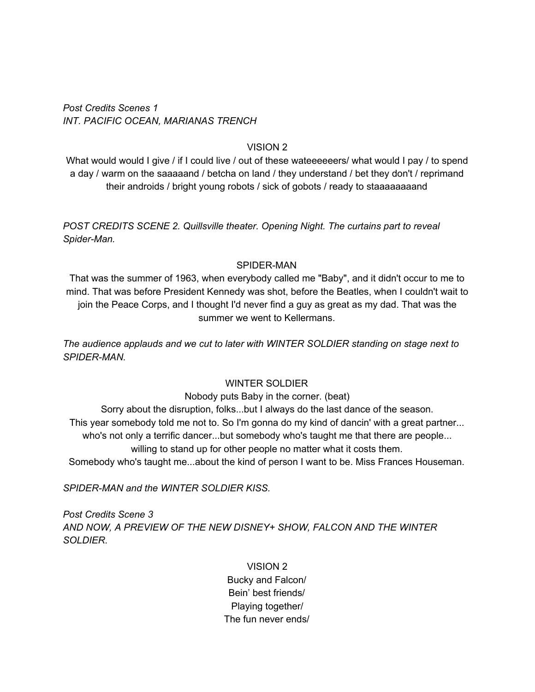*Post Credits Scenes 1 INT. PACIFIC OCEAN, MARIANAS TRENCH*

# VISION 2

What would would I give / if I could live / out of these wateeeeeers/ what would I pay / to spend a day / warm on the saaaaand / betcha on land / they understand / bet they don't / reprimand their androids / bright young robots / sick of gobots / ready to staaaaaaaand

*POST CREDITS SCENE 2. Quillsville theater. Opening Night. The curtains part to reveal Spider-Man.*

# SPIDER-MAN

That was the summer of 1963, when everybody called me "Baby", and it didn't occur to me to mind. That was before President Kennedy was shot, before the Beatles, when I couldn't wait to join the Peace Corps, and I thought I'd never find a guy as great as my dad. That was the summer we went to Kellermans.

*The audience applauds and we cut to later with WINTER SOLDIER standing on stage next to SPIDER-MAN.*

# WINTER SOLDIER

Nobody puts Baby in the corner. (beat)

Sorry about the disruption, folks...but I always do the last dance of the season. This year somebody told me not to. So I'm gonna do my kind of dancin' with a great partner... who's not only a terrific dancer...but somebody who's taught me that there are people... willing to stand up for other people no matter what it costs them. Somebody who's taught me...about the kind of person I want to be. Miss Frances Houseman.

*SPIDER-MAN and the WINTER SOLDIER KISS.*

*Post Credits Scene 3 AND NOW, A PREVIEW OF THE NEW DISNEY+ SHOW, FALCON AND THE WINTER SOLDIER.*

> VISION 2 Bucky and Falcon/ Bein' best friends/ Playing together/ The fun never ends/